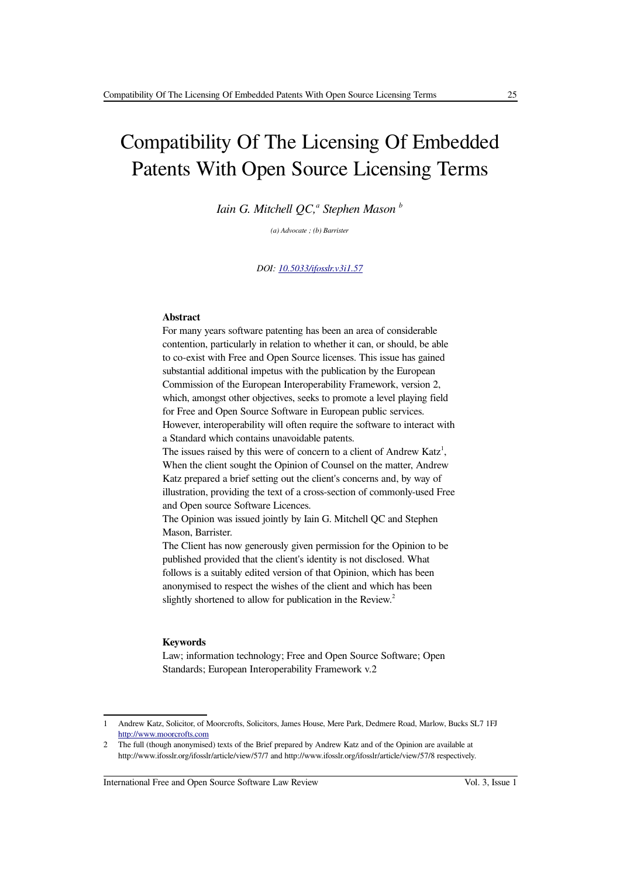# Compatibility Of The Licensing Of Embedded Patents With Open Source Licensing Terms

*Iain G. Mitchell QC, a Stephen Mason <sup>b</sup>*

*(a) Advocate ; (b) Barrister*

*DOI: [10.5033/ifosslr.v3i1.57](http://dx.doi.org/10.5033/ifosslr.v3i1.57)*

### **Abstract**

For many years software patenting has been an area of considerable contention, particularly in relation to whether it can, or should, be able to co-exist with Free and Open Source licenses. This issue has gained substantial additional impetus with the publication by the European Commission of the European Interoperability Framework, version 2, which, amongst other objectives, seeks to promote a level playing field for Free and Open Source Software in European public services. However, interoperability will often require the software to interact with a Standard which contains unavoidable patents. The issues raised by this were of concern to a client of Andrew Katz<sup>[1](#page-0-0)</sup>, When the client sought the Opinion of Counsel on the matter, Andrew Katz prepared a brief setting out the client's concerns and, by way of illustration, providing the text of a cross-section of commonly-used Free and Open source Software Licences.

The Opinion was issued jointly by Iain G. Mitchell QC and Stephen Mason, Barrister.

The Client has now generously given permission for the Opinion to be published provided that the client's identity is not disclosed. What follows is a suitably edited version of that Opinion, which has been anonymised to respect the wishes of the client and which has been slightly shortened to allow for publication in the Review.<sup>[2](#page-0-1)</sup>

#### **Keywords**

Law; information technology; Free and Open Source Software; Open Standards; European Interoperability Framework v.2

International Free and Open Source Software Law Review Vol. 3, Issue 1

<span id="page-0-0"></span><sup>1</sup> Andrew Katz, Solicitor, of Moorcrofts, Solicitors, James House, Mere Park, Dedmere Road, Marlow, Bucks SL7 1FJ [http://www.moorcrofts.com](http://www.moorcrofts.com/)

<span id="page-0-1"></span><sup>2</sup> The full (though anonymised) texts of the Brief prepared by Andrew Katz and of the Opinion are available at http://www.ifosslr.org/ifosslr/article/view/57/7 and http://www.ifosslr.org/ifosslr/article/view/57/8 respectively.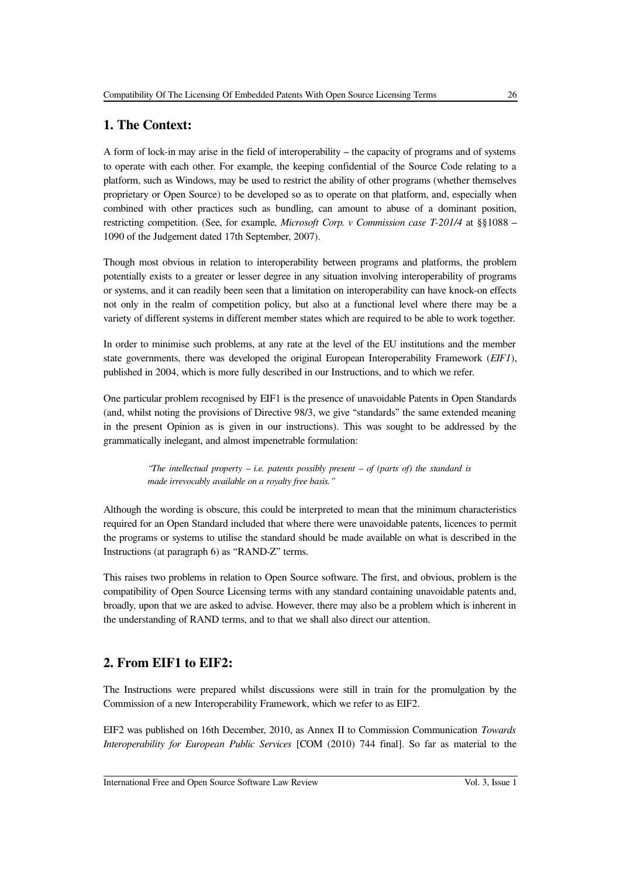## **1. The Context:**

A form of lock-in may arise in the field of interoperability – the capacity of programs and of systems to operate with each other. For example, the keeping confidential of the Source Code relating to a platform, such as Windows, may be used to restrict the ability of other programs (whether themselves proprietary or Open Source) to be developed so as to operate on that platform, and, especially when combined with other practices such as bundling, can amount to abuse of a dominant position, restricting competition. (See, for example, *Microsoft Corp. v Commission case T-201/4* at §§1088 – 1090 of the Judgement dated 17th September, 2007).

Though most obvious in relation to interoperability between programs and platforms, the problem potentially exists to a greater or lesser degree in any situation involving interoperability of programs or systems, and it can readily been seen that a limitation on interoperability can have knock-on effects not only in the realm of competition policy, but also at a functional level where there may be a variety of different systems in different member states which are required to be able to work together.

In order to minimise such problems, at any rate at the level of the EU institutions and the member state governments, there was developed the original European Interoperability Framework (*EIF1*), published in 2004, which is more fully described in our Instructions, and to which we refer.

One particular problem recognised by EIF1 is the presence of unavoidable Patents in Open Standards (and, whilst noting the provisions of Directive 98/3, we give "standards" the same extended meaning in the present Opinion as is given in our instructions). This was sought to be addressed by the grammatically inelegant, and almost impenetrable formulation:

> *"The intellectual property – i.e. patents possibly present – of (parts of) the standard is made irrevocably available on a royalty free basis."*

Although the wording is obscure, this could be interpreted to mean that the minimum characteristics required for an Open Standard included that where there were unavoidable patents, licences to permit the programs or systems to utilise the standard should be made available on what is described in the Instructions (at paragraph 6) as "RAND-Z" terms.

This raises two problems in relation to Open Source software. The first, and obvious, problem is the compatibility of Open Source Licensing terms with any standard containing unavoidable patents and, broadly, upon that we are asked to advise. However, there may also be a problem which is inherent in the understanding of RAND terms, and to that we shall also direct our attention.

### **2. From EIF1 to EIF2:**

The Instructions were prepared whilst discussions were still in train for the promulgation by the Commission of a new Interoperability Framework, which we refer to as EIF2.

EIF2 was published on 16th December, 2010, as Annex II to Commission Communication *Towards Interoperability for European Public Services* [COM (2010) 744 final]. So far as material to the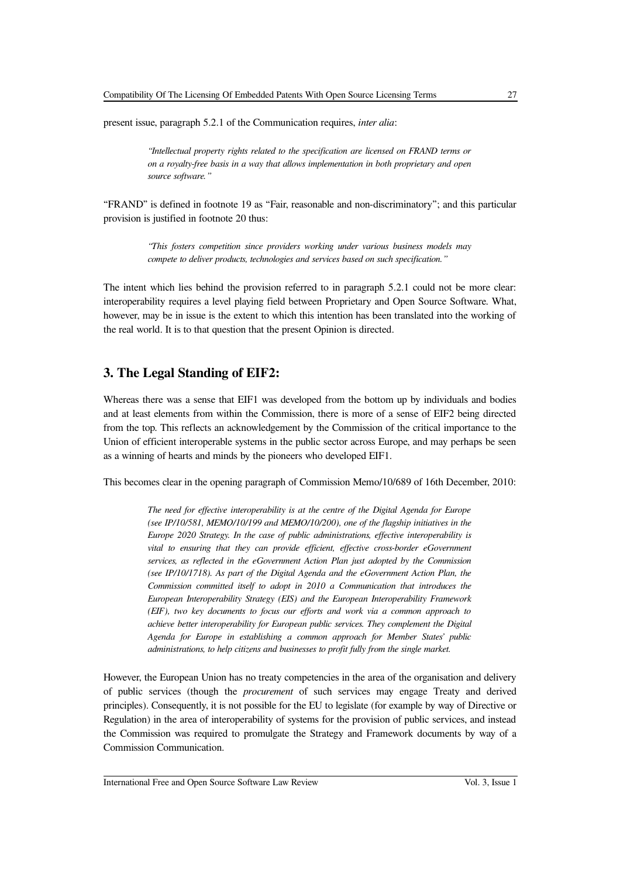present issue, paragraph 5.2.1 of the Communication requires, *inter alia*:

*"Intellectual property rights related to the specification are licensed on FRAND terms or on a royalty-free basis in a way that allows implementation in both proprietary and open source software."*

"FRAND" is defined in footnote 19 as "Fair, reasonable and non-discriminatory"; and this particular provision is justified in footnote 20 thus:

> *"This fosters competition since providers working under various business models may compete to deliver products, technologies and services based on such specification."*

The intent which lies behind the provision referred to in paragraph 5.2.1 could not be more clear: interoperability requires a level playing field between Proprietary and Open Source Software. What, however, may be in issue is the extent to which this intention has been translated into the working of the real world. It is to that question that the present Opinion is directed.

### **3. The Legal Standing of EIF2:**

Whereas there was a sense that EIF1 was developed from the bottom up by individuals and bodies and at least elements from within the Commission, there is more of a sense of EIF2 being directed from the top. This reflects an acknowledgement by the Commission of the critical importance to the Union of efficient interoperable systems in the public sector across Europe, and may perhaps be seen as a winning of hearts and minds by the pioneers who developed EIF1.

This becomes clear in the opening paragraph of Commission Memo/10/689 of 16th December, 2010:

*The need for effective interoperability is at the centre of the Digital Agenda for Europe (see IP/10/581, MEMO/10/199 and MEMO/10/200), one of the flagship initiatives in the Europe 2020 Strategy. In the case of public administrations, effective interoperability is vital to ensuring that they can provide efficient, effective cross-border eGovernment services, as reflected in the eGovernment Action Plan just adopted by the Commission (see IP/10/1718). As part of the Digital Agenda and the eGovernment Action Plan, the Commission committed itself to adopt in 2010 a Communication that introduces the European Interoperability Strategy (EIS) and the European Interoperability Framework (EIF), two key documents to focus our efforts and work via a common approach to achieve better interoperability for European public services. They complement the Digital Agenda for Europe in establishing a common approach for Member States' public administrations, to help citizens and businesses to profit fully from the single market.*

However, the European Union has no treaty competencies in the area of the organisation and delivery of public services (though the *procurement* of such services may engage Treaty and derived principles). Consequently, it is not possible for the EU to legislate (for example by way of Directive or Regulation) in the area of interoperability of systems for the provision of public services, and instead the Commission was required to promulgate the Strategy and Framework documents by way of a Commission Communication.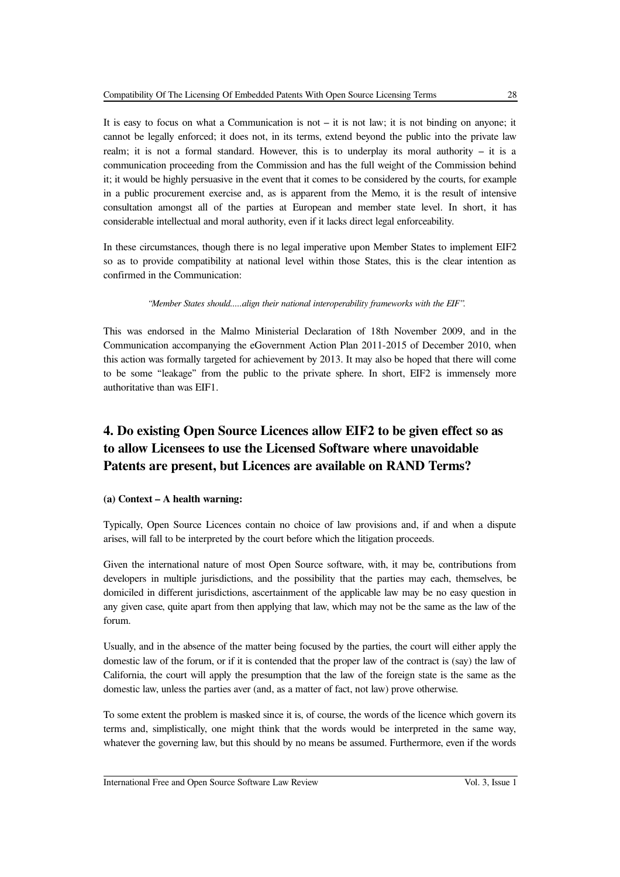It is easy to focus on what a Communication is not  $-$  it is not law; it is not binding on anyone; it cannot be legally enforced; it does not, in its terms, extend beyond the public into the private law realm; it is not a formal standard. However, this is to underplay its moral authority – it is a communication proceeding from the Commission and has the full weight of the Commission behind it; it would be highly persuasive in the event that it comes to be considered by the courts, for example in a public procurement exercise and, as is apparent from the Memo, it is the result of intensive consultation amongst all of the parties at European and member state level. In short, it has considerable intellectual and moral authority, even if it lacks direct legal enforceability.

In these circumstances, though there is no legal imperative upon Member States to implement EIF2 so as to provide compatibility at national level within those States, this is the clear intention as confirmed in the Communication:

*"Member States should.....align their national interoperability frameworks with the EIF".* 

This was endorsed in the Malmo Ministerial Declaration of 18th November 2009, and in the Communication accompanying the eGovernment Action Plan 2011-2015 of December 2010, when this action was formally targeted for achievement by 2013. It may also be hoped that there will come to be some "leakage" from the public to the private sphere. In short, EIF2 is immensely more authoritative than was EIF1.

# **4. Do existing Open Source Licences allow EIF2 to be given effect so as to allow Licensees to use the Licensed Software where unavoidable Patents are present, but Licences are available on RAND Terms?**

### **(a) Context – A health warning:**

Typically, Open Source Licences contain no choice of law provisions and, if and when a dispute arises, will fall to be interpreted by the court before which the litigation proceeds.

Given the international nature of most Open Source software, with, it may be, contributions from developers in multiple jurisdictions, and the possibility that the parties may each, themselves, be domiciled in different jurisdictions, ascertainment of the applicable law may be no easy question in any given case, quite apart from then applying that law, which may not be the same as the law of the forum.

Usually, and in the absence of the matter being focused by the parties, the court will either apply the domestic law of the forum, or if it is contended that the proper law of the contract is (say) the law of California, the court will apply the presumption that the law of the foreign state is the same as the domestic law, unless the parties aver (and, as a matter of fact, not law) prove otherwise.

To some extent the problem is masked since it is, of course, the words of the licence which govern its terms and, simplistically, one might think that the words would be interpreted in the same way, whatever the governing law, but this should by no means be assumed. Furthermore, even if the words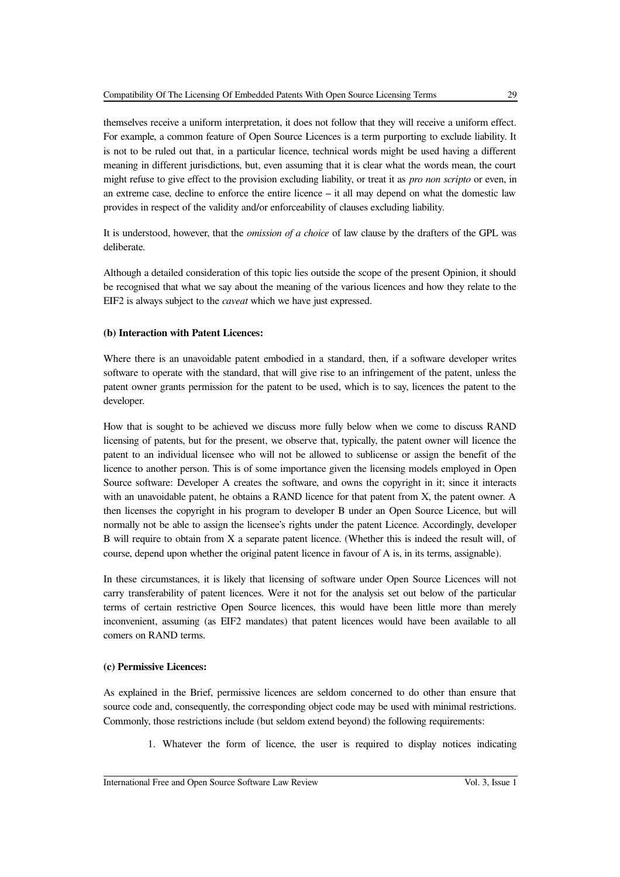themselves receive a uniform interpretation, it does not follow that they will receive a uniform effect. For example, a common feature of Open Source Licences is a term purporting to exclude liability. It is not to be ruled out that, in a particular licence, technical words might be used having a different meaning in different jurisdictions, but, even assuming that it is clear what the words mean, the court might refuse to give effect to the provision excluding liability, or treat it as *pro non scripto* or even, in an extreme case, decline to enforce the entire licence – it all may depend on what the domestic law provides in respect of the validity and/or enforceability of clauses excluding liability.

It is understood, however, that the *omission of a choice* of law clause by the drafters of the GPL was deliberate.

Although a detailed consideration of this topic lies outside the scope of the present Opinion, it should be recognised that what we say about the meaning of the various licences and how they relate to the EIF2 is always subject to the *caveat* which we have just expressed.

### **(b) Interaction with Patent Licences:**

Where there is an unavoidable patent embodied in a standard, then, if a software developer writes software to operate with the standard, that will give rise to an infringement of the patent, unless the patent owner grants permission for the patent to be used, which is to say, licences the patent to the developer.

How that is sought to be achieved we discuss more fully below when we come to discuss RAND licensing of patents, but for the present, we observe that, typically, the patent owner will licence the patent to an individual licensee who will not be allowed to sublicense or assign the benefit of the licence to another person. This is of some importance given the licensing models employed in Open Source software: Developer A creates the software, and owns the copyright in it; since it interacts with an unavoidable patent, he obtains a RAND licence for that patent from X, the patent owner. A then licenses the copyright in his program to developer B under an Open Source Licence, but will normally not be able to assign the licensee's rights under the patent Licence. Accordingly, developer B will require to obtain from X a separate patent licence. (Whether this is indeed the result will, of course, depend upon whether the original patent licence in favour of A is, in its terms, assignable).

In these circumstances, it is likely that licensing of software under Open Source Licences will not carry transferability of patent licences. Were it not for the analysis set out below of the particular terms of certain restrictive Open Source licences, this would have been little more than merely inconvenient, assuming (as EIF2 mandates) that patent licences would have been available to all comers on RAND terms.

#### **(c) Permissive Licences:**

As explained in the Brief, permissive licences are seldom concerned to do other than ensure that source code and, consequently, the corresponding object code may be used with minimal restrictions. Commonly, those restrictions include (but seldom extend beyond) the following requirements:

1. Whatever the form of licence, the user is required to display notices indicating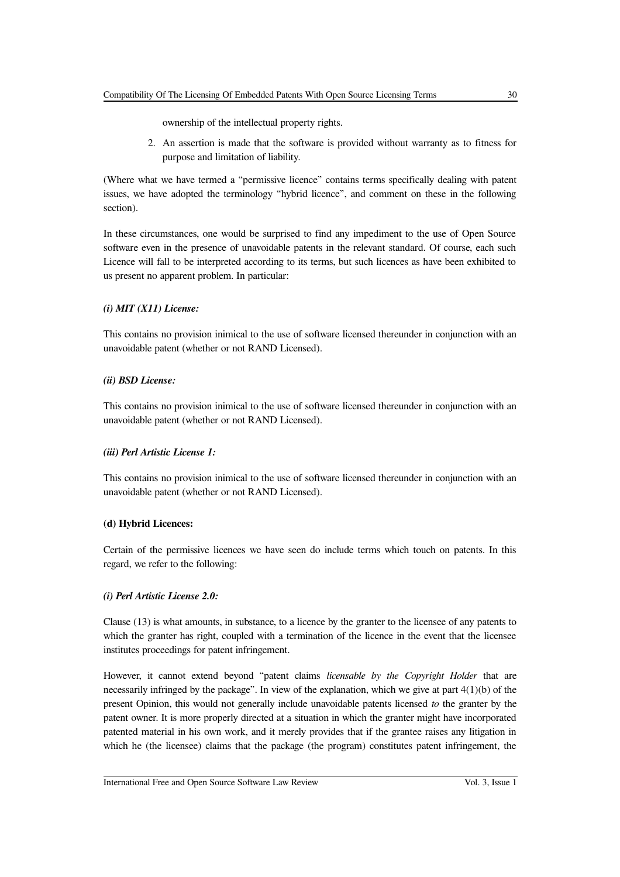2. An assertion is made that the software is provided without warranty as to fitness for purpose and limitation of liability.

(Where what we have termed a "permissive licence" contains terms specifically dealing with patent issues, we have adopted the terminology "hybrid licence", and comment on these in the following section).

In these circumstances, one would be surprised to find any impediment to the use of Open Source software even in the presence of unavoidable patents in the relevant standard. Of course, each such Licence will fall to be interpreted according to its terms, but such licences as have been exhibited to us present no apparent problem. In particular:

### *(i) MIT (X11) License:*

This contains no provision inimical to the use of software licensed thereunder in conjunction with an unavoidable patent (whether or not RAND Licensed).

### *(ii) BSD License:*

This contains no provision inimical to the use of software licensed thereunder in conjunction with an unavoidable patent (whether or not RAND Licensed).

### *(iii) Perl Artistic License 1:*

This contains no provision inimical to the use of software licensed thereunder in conjunction with an unavoidable patent (whether or not RAND Licensed).

### **(d) Hybrid Licences:**

Certain of the permissive licences we have seen do include terms which touch on patents. In this regard, we refer to the following:

### *(i) Perl Artistic License 2.0:*

Clause (13) is what amounts, in substance, to a licence by the granter to the licensee of any patents to which the granter has right, coupled with a termination of the licence in the event that the licensee institutes proceedings for patent infringement.

However, it cannot extend beyond "patent claims *licensable by the Copyright Holder* that are necessarily infringed by the package". In view of the explanation, which we give at part  $4(1)(b)$  of the present Opinion, this would not generally include unavoidable patents licensed *to* the granter by the patent owner. It is more properly directed at a situation in which the granter might have incorporated patented material in his own work, and it merely provides that if the grantee raises any litigation in which he (the licensee) claims that the package (the program) constitutes patent infringement, the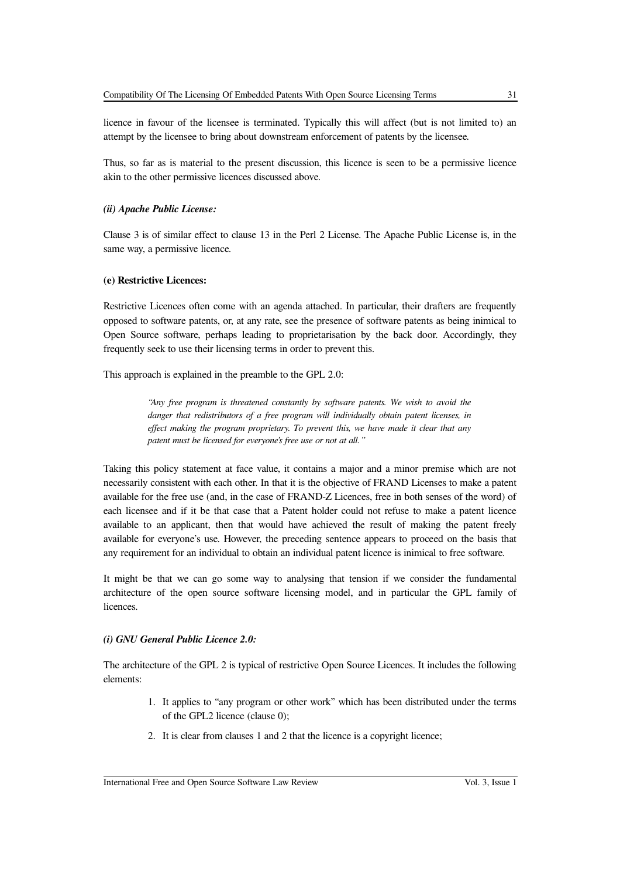licence in favour of the licensee is terminated. Typically this will affect (but is not limited to) an attempt by the licensee to bring about downstream enforcement of patents by the licensee.

Thus, so far as is material to the present discussion, this licence is seen to be a permissive licence akin to the other permissive licences discussed above.

#### *(ii) Apache Public License:*

Clause 3 is of similar effect to clause 13 in the Perl 2 License. The Apache Public License is, in the same way, a permissive licence.

#### **(e) Restrictive Licences:**

Restrictive Licences often come with an agenda attached. In particular, their drafters are frequently opposed to software patents, or, at any rate, see the presence of software patents as being inimical to Open Source software, perhaps leading to proprietarisation by the back door. Accordingly, they frequently seek to use their licensing terms in order to prevent this.

This approach is explained in the preamble to the GPL 2.0:

*"Any free program is threatened constantly by software patents. We wish to avoid the danger that redistributors of a free program will individually obtain patent licenses, in effect making the program proprietary. To prevent this, we have made it clear that any patent must be licensed for everyone's free use or not at all."*

Taking this policy statement at face value, it contains a major and a minor premise which are not necessarily consistent with each other. In that it is the objective of FRAND Licenses to make a patent available for the free use (and, in the case of FRAND-Z Licences, free in both senses of the word) of each licensee and if it be that case that a Patent holder could not refuse to make a patent licence available to an applicant, then that would have achieved the result of making the patent freely available for everyone's use. However, the preceding sentence appears to proceed on the basis that any requirement for an individual to obtain an individual patent licence is inimical to free software.

It might be that we can go some way to analysing that tension if we consider the fundamental architecture of the open source software licensing model, and in particular the GPL family of licences.

#### *(i) GNU General Public Licence 2.0:*

The architecture of the GPL 2 is typical of restrictive Open Source Licences. It includes the following elements:

- 1. It applies to "any program or other work" which has been distributed under the terms of the GPL2 licence (clause 0);
- 2. It is clear from clauses 1 and 2 that the licence is a copyright licence;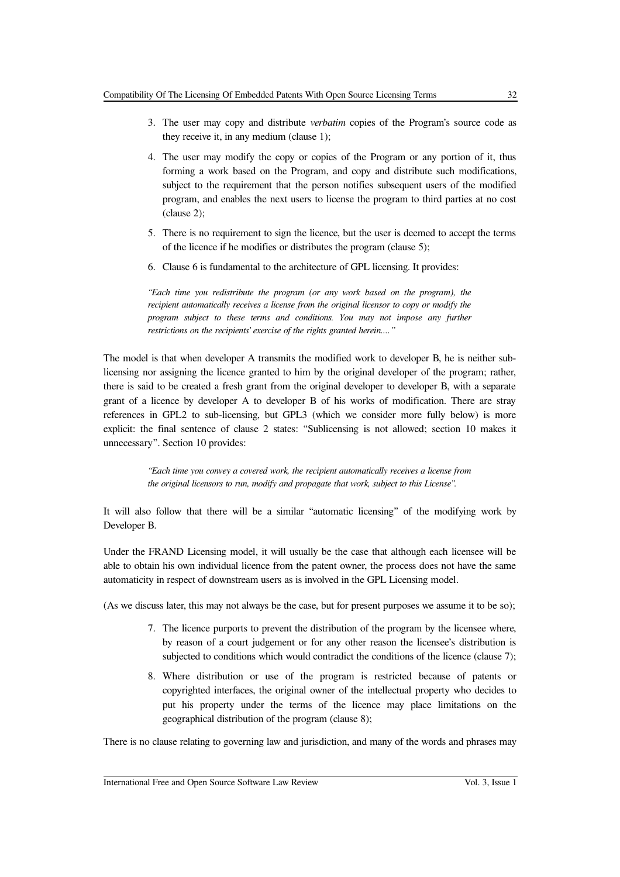- 3. The user may copy and distribute *verbatim* copies of the Program's source code as they receive it, in any medium (clause 1);
- 4. The user may modify the copy or copies of the Program or any portion of it, thus forming a work based on the Program, and copy and distribute such modifications, subject to the requirement that the person notifies subsequent users of the modified program, and enables the next users to license the program to third parties at no cost (clause 2);
- 5. There is no requirement to sign the licence, but the user is deemed to accept the terms of the licence if he modifies or distributes the program (clause 5);
- 6. Clause 6 is fundamental to the architecture of GPL licensing. It provides:

*"Each time you redistribute the program (or any work based on the program), the recipient automatically receives a license from the original licensor to copy or modify the program subject to these terms and conditions. You may not impose any further restrictions on the recipients' exercise of the rights granted herein...."*

The model is that when developer A transmits the modified work to developer B, he is neither sublicensing nor assigning the licence granted to him by the original developer of the program; rather, there is said to be created a fresh grant from the original developer to developer B, with a separate grant of a licence by developer A to developer B of his works of modification. There are stray references in GPL2 to sub-licensing, but GPL3 (which we consider more fully below) is more explicit: the final sentence of clause 2 states: "Sublicensing is not allowed; section 10 makes it unnecessary". Section 10 provides:

> *"Each time you convey a covered work, the recipient automatically receives a license from the original licensors to run, modify and propagate that work, subject to this License".*

It will also follow that there will be a similar "automatic licensing" of the modifying work by Developer B.

Under the FRAND Licensing model, it will usually be the case that although each licensee will be able to obtain his own individual licence from the patent owner, the process does not have the same automaticity in respect of downstream users as is involved in the GPL Licensing model.

(As we discuss later, this may not always be the case, but for present purposes we assume it to be so);

- 7. The licence purports to prevent the distribution of the program by the licensee where, by reason of a court judgement or for any other reason the licensee's distribution is subjected to conditions which would contradict the conditions of the licence (clause 7);
- 8. Where distribution or use of the program is restricted because of patents or copyrighted interfaces, the original owner of the intellectual property who decides to put his property under the terms of the licence may place limitations on the geographical distribution of the program (clause 8);

There is no clause relating to governing law and jurisdiction, and many of the words and phrases may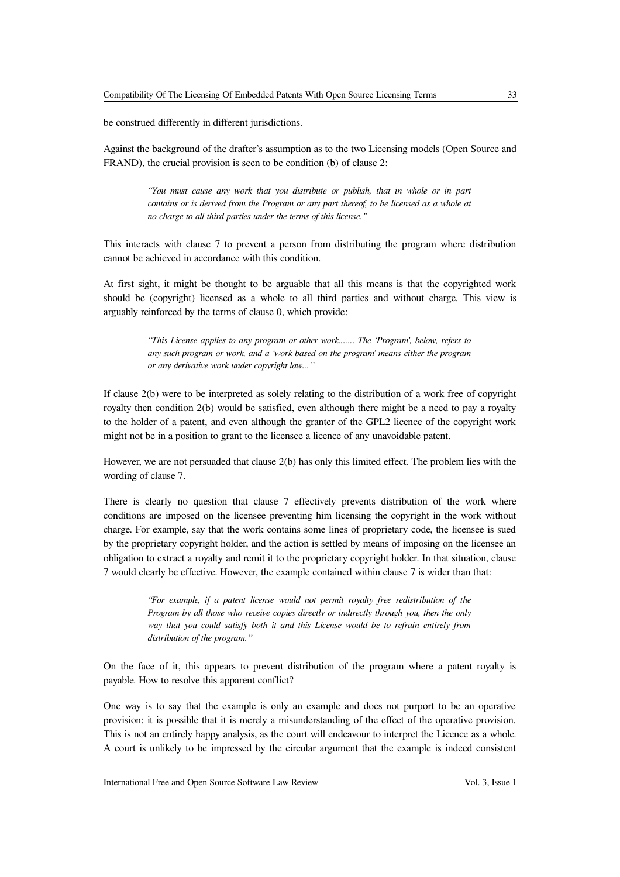be construed differently in different jurisdictions.

Against the background of the drafter's assumption as to the two Licensing models (Open Source and FRAND), the crucial provision is seen to be condition (b) of clause 2:

> *"You must cause any work that you distribute or publish, that in whole or in part contains or is derived from the Program or any part thereof, to be licensed as a whole at no charge to all third parties under the terms of this license."*

This interacts with clause 7 to prevent a person from distributing the program where distribution cannot be achieved in accordance with this condition.

At first sight, it might be thought to be arguable that all this means is that the copyrighted work should be (copyright) licensed as a whole to all third parties and without charge. This view is arguably reinforced by the terms of clause 0, which provide:

> *"This License applies to any program or other work....... The 'Program', below, refers to any such program or work, and a 'work based on the program' means either the program or any derivative work under copyright law..."*

If clause 2(b) were to be interpreted as solely relating to the distribution of a work free of copyright royalty then condition 2(b) would be satisfied, even although there might be a need to pay a royalty to the holder of a patent, and even although the granter of the GPL2 licence of the copyright work might not be in a position to grant to the licensee a licence of any unavoidable patent.

However, we are not persuaded that clause 2(b) has only this limited effect. The problem lies with the wording of clause 7.

There is clearly no question that clause 7 effectively prevents distribution of the work where conditions are imposed on the licensee preventing him licensing the copyright in the work without charge. For example, say that the work contains some lines of proprietary code, the licensee is sued by the proprietary copyright holder, and the action is settled by means of imposing on the licensee an obligation to extract a royalty and remit it to the proprietary copyright holder. In that situation, clause 7 would clearly be effective. However, the example contained within clause 7 is wider than that:

> *"For example, if a patent license would not permit royalty free redistribution of the Program by all those who receive copies directly or indirectly through you, then the only way that you could satisfy both it and this License would be to refrain entirely from distribution of the program."*

On the face of it, this appears to prevent distribution of the program where a patent royalty is payable. How to resolve this apparent conflict?

One way is to say that the example is only an example and does not purport to be an operative provision: it is possible that it is merely a misunderstanding of the effect of the operative provision. This is not an entirely happy analysis, as the court will endeavour to interpret the Licence as a whole. A court is unlikely to be impressed by the circular argument that the example is indeed consistent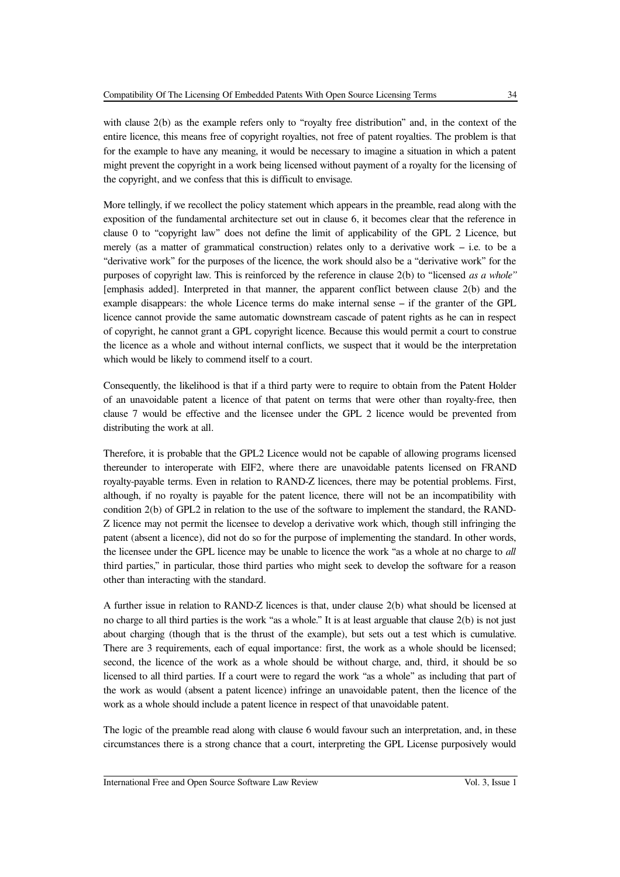with clause 2(b) as the example refers only to "royalty free distribution" and, in the context of the entire licence, this means free of copyright royalties, not free of patent royalties. The problem is that for the example to have any meaning, it would be necessary to imagine a situation in which a patent might prevent the copyright in a work being licensed without payment of a royalty for the licensing of the copyright, and we confess that this is difficult to envisage.

More tellingly, if we recollect the policy statement which appears in the preamble, read along with the exposition of the fundamental architecture set out in clause 6, it becomes clear that the reference in clause 0 to "copyright law" does not define the limit of applicability of the GPL 2 Licence, but merely (as a matter of grammatical construction) relates only to a derivative work – i.e. to be a "derivative work" for the purposes of the licence, the work should also be a "derivative work" for the purposes of copyright law. This is reinforced by the reference in clause 2(b) to "licensed *as a whole"* [emphasis added]. Interpreted in that manner, the apparent conflict between clause 2(b) and the example disappears: the whole Licence terms do make internal sense – if the granter of the GPL licence cannot provide the same automatic downstream cascade of patent rights as he can in respect of copyright, he cannot grant a GPL copyright licence. Because this would permit a court to construe the licence as a whole and without internal conflicts, we suspect that it would be the interpretation which would be likely to commend itself to a court.

Consequently, the likelihood is that if a third party were to require to obtain from the Patent Holder of an unavoidable patent a licence of that patent on terms that were other than royalty-free, then clause 7 would be effective and the licensee under the GPL 2 licence would be prevented from distributing the work at all.

Therefore, it is probable that the GPL2 Licence would not be capable of allowing programs licensed thereunder to interoperate with EIF2, where there are unavoidable patents licensed on FRAND royalty-payable terms. Even in relation to RAND-Z licences, there may be potential problems. First, although, if no royalty is payable for the patent licence, there will not be an incompatibility with condition 2(b) of GPL2 in relation to the use of the software to implement the standard, the RAND-Z licence may not permit the licensee to develop a derivative work which, though still infringing the patent (absent a licence), did not do so for the purpose of implementing the standard. In other words, the licensee under the GPL licence may be unable to licence the work "as a whole at no charge to *all* third parties," in particular, those third parties who might seek to develop the software for a reason other than interacting with the standard.

A further issue in relation to RAND-Z licences is that, under clause 2(b) what should be licensed at no charge to all third parties is the work "as a whole." It is at least arguable that clause 2(b) is not just about charging (though that is the thrust of the example), but sets out a test which is cumulative. There are 3 requirements, each of equal importance: first, the work as a whole should be licensed; second, the licence of the work as a whole should be without charge, and, third, it should be so licensed to all third parties. If a court were to regard the work "as a whole" as including that part of the work as would (absent a patent licence) infringe an unavoidable patent, then the licence of the work as a whole should include a patent licence in respect of that unavoidable patent.

The logic of the preamble read along with clause 6 would favour such an interpretation, and, in these circumstances there is a strong chance that a court, interpreting the GPL License purposively would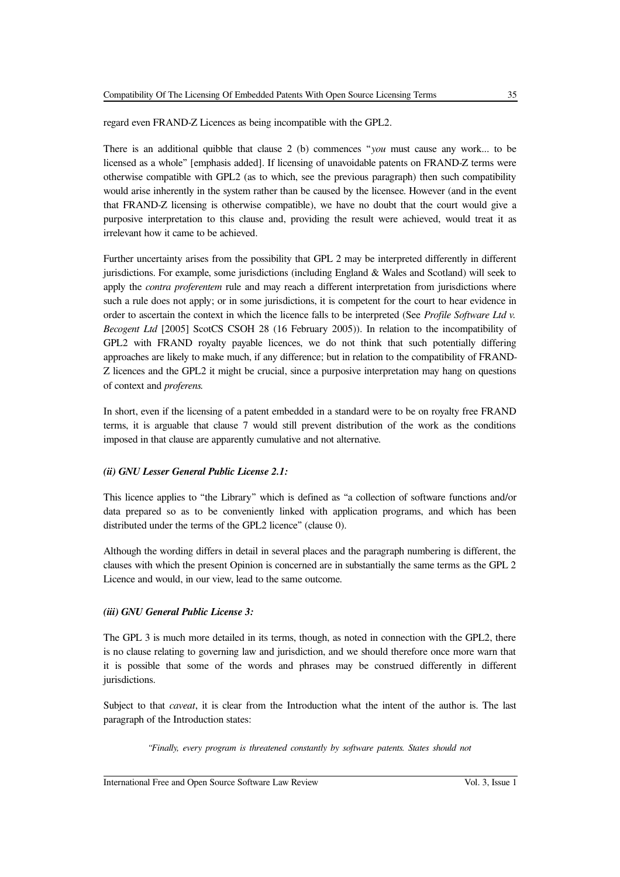regard even FRAND-Z Licences as being incompatible with the GPL2.

There is an additional quibble that clause 2 (b) commences "*you* must cause any work... to be licensed as a whole" [emphasis added]. If licensing of unavoidable patents on FRAND-Z terms were otherwise compatible with GPL2 (as to which, see the previous paragraph) then such compatibility would arise inherently in the system rather than be caused by the licensee. However (and in the event that FRAND-Z licensing is otherwise compatible), we have no doubt that the court would give a purposive interpretation to this clause and, providing the result were achieved, would treat it as irrelevant how it came to be achieved.

Further uncertainty arises from the possibility that GPL 2 may be interpreted differently in different jurisdictions. For example, some jurisdictions (including England & Wales and Scotland) will seek to apply the *contra proferentem* rule and may reach a different interpretation from jurisdictions where such a rule does not apply; or in some jurisdictions, it is competent for the court to hear evidence in order to ascertain the context in which the licence falls to be interpreted (See *Profile Software Ltd v. Becogent Ltd* [2005] ScotCS CSOH 28 (16 February 2005)). In relation to the incompatibility of GPL2 with FRAND royalty payable licences, we do not think that such potentially differing approaches are likely to make much, if any difference; but in relation to the compatibility of FRAND-Z licences and the GPL2 it might be crucial, since a purposive interpretation may hang on questions of context and *proferens.*

In short, even if the licensing of a patent embedded in a standard were to be on royalty free FRAND terms, it is arguable that clause 7 would still prevent distribution of the work as the conditions imposed in that clause are apparently cumulative and not alternative.

### *(ii) GNU Lesser General Public License 2.1:*

This licence applies to "the Library" which is defined as "a collection of software functions and/or data prepared so as to be conveniently linked with application programs, and which has been distributed under the terms of the GPL2 licence" (clause 0).

Although the wording differs in detail in several places and the paragraph numbering is different, the clauses with which the present Opinion is concerned are in substantially the same terms as the GPL 2 Licence and would, in our view, lead to the same outcome.

### *(iii) GNU General Public License 3:*

The GPL 3 is much more detailed in its terms, though, as noted in connection with the GPL2, there is no clause relating to governing law and jurisdiction, and we should therefore once more warn that it is possible that some of the words and phrases may be construed differently in different jurisdictions.

Subject to that *caveat*, it is clear from the Introduction what the intent of the author is. The last paragraph of the Introduction states:

*"Finally, every program is threatened constantly by software patents. States should not*

#### International Free and Open Source Software Law Review Vol. 3, Issue 1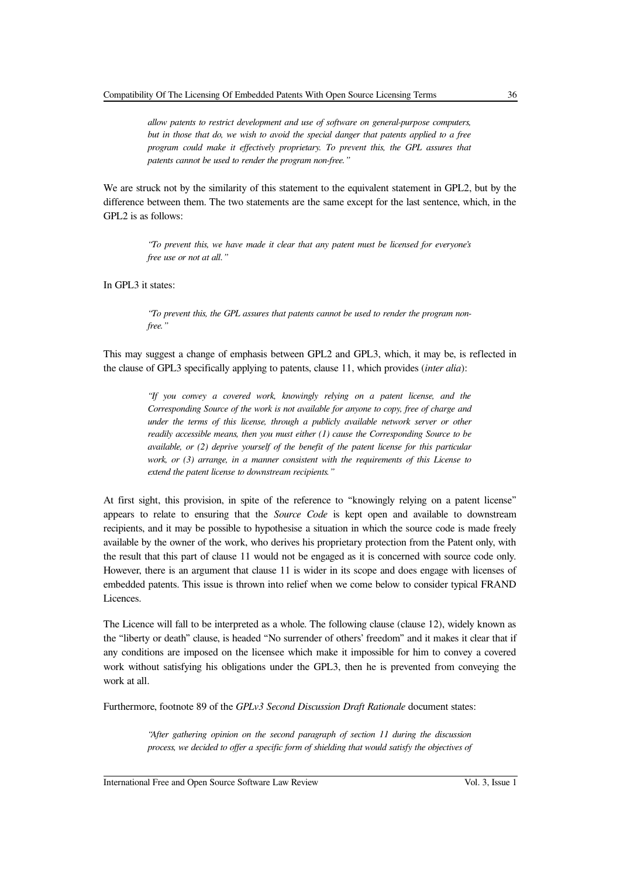*allow patents to restrict development and use of software on general-purpose computers, but in those that do, we wish to avoid the special danger that patents applied to a free program could make it effectively proprietary. To prevent this, the GPL assures that patents cannot be used to render the program non-free."*

We are struck not by the similarity of this statement to the equivalent statement in GPL2, but by the difference between them. The two statements are the same except for the last sentence, which, in the GPL2 is as follows:

> *"To prevent this, we have made it clear that any patent must be licensed for everyone's free use or not at all."*

In GPL3 it states:

*"To prevent this, the GPL assures that patents cannot be used to render the program nonfree."*

This may suggest a change of emphasis between GPL2 and GPL3, which, it may be, is reflected in the clause of GPL3 specifically applying to patents, clause 11, which provides (*inter alia*):

> *"If you convey a covered work, knowingly relying on a patent license, and the Corresponding Source of the work is not available for anyone to copy, free of charge and under the terms of this license, through a publicly available network server or other readily accessible means, then you must either (1) cause the Corresponding Source to be available, or (2) deprive yourself of the benefit of the patent license for this particular work, or (3) arrange, in a manner consistent with the requirements of this License to extend the patent license to downstream recipients."*

At first sight, this provision, in spite of the reference to "knowingly relying on a patent license" appears to relate to ensuring that the *Source Code* is kept open and available to downstream recipients, and it may be possible to hypothesise a situation in which the source code is made freely available by the owner of the work, who derives his proprietary protection from the Patent only, with the result that this part of clause 11 would not be engaged as it is concerned with source code only. However, there is an argument that clause 11 is wider in its scope and does engage with licenses of embedded patents. This issue is thrown into relief when we come below to consider typical FRAND Licences.

The Licence will fall to be interpreted as a whole. The following clause (clause 12), widely known as the "liberty or death" clause, is headed "No surrender of others' freedom" and it makes it clear that if any conditions are imposed on the licensee which make it impossible for him to convey a covered work without satisfying his obligations under the GPL3, then he is prevented from conveying the work at all.

Furthermore, footnote 89 of the *GPLv3 Second Discussion Draft Rationale* document states:

*"After gathering opinion on the second paragraph of section 11 during the discussion process, we decided to offer a specific form of shielding that would satisfy the objectives of*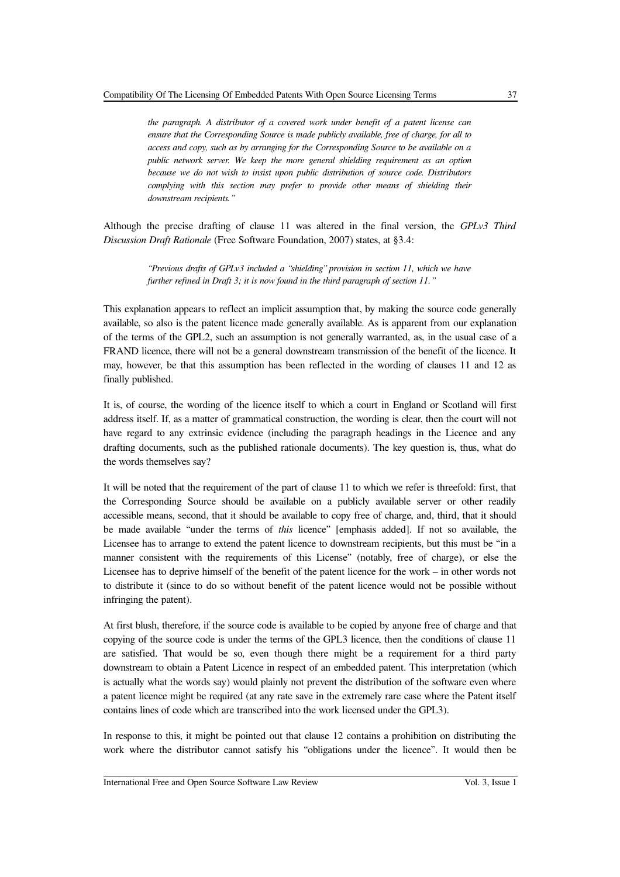*the paragraph. A distributor of a covered work under benefit of a patent license can ensure that the Corresponding Source is made publicly available, free of charge, for all to access and copy, such as by arranging for the Corresponding Source to be available on a public network server. We keep the more general shielding requirement as an option because we do not wish to insist upon public distribution of source code. Distributors complying with this section may prefer to provide other means of shielding their downstream recipients."*

Although the precise drafting of clause 11 was altered in the final version, the *GPLv3 Third Discussion Draft Rationale* (Free Software Foundation, 2007) states, at §3.4:

> *"Previous drafts of GPLv3 included a "shielding" provision in section 11, which we have further refined in Draft 3; it is now found in the third paragraph of section 11."*

This explanation appears to reflect an implicit assumption that, by making the source code generally available, so also is the patent licence made generally available. As is apparent from our explanation of the terms of the GPL2, such an assumption is not generally warranted, as, in the usual case of a FRAND licence, there will not be a general downstream transmission of the benefit of the licence. It may, however, be that this assumption has been reflected in the wording of clauses 11 and 12 as finally published.

It is, of course, the wording of the licence itself to which a court in England or Scotland will first address itself. If, as a matter of grammatical construction, the wording is clear, then the court will not have regard to any extrinsic evidence (including the paragraph headings in the Licence and any drafting documents, such as the published rationale documents). The key question is, thus, what do the words themselves say?

It will be noted that the requirement of the part of clause 11 to which we refer is threefold: first, that the Corresponding Source should be available on a publicly available server or other readily accessible means, second, that it should be available to copy free of charge, and, third, that it should be made available "under the terms of *this* licence" [emphasis added]. If not so available, the Licensee has to arrange to extend the patent licence to downstream recipients, but this must be "in a manner consistent with the requirements of this License" (notably, free of charge), or else the Licensee has to deprive himself of the benefit of the patent licence for the work – in other words not to distribute it (since to do so without benefit of the patent licence would not be possible without infringing the patent).

At first blush, therefore, if the source code is available to be copied by anyone free of charge and that copying of the source code is under the terms of the GPL3 licence, then the conditions of clause 11 are satisfied. That would be so, even though there might be a requirement for a third party downstream to obtain a Patent Licence in respect of an embedded patent. This interpretation (which is actually what the words say) would plainly not prevent the distribution of the software even where a patent licence might be required (at any rate save in the extremely rare case where the Patent itself contains lines of code which are transcribed into the work licensed under the GPL3).

In response to this, it might be pointed out that clause 12 contains a prohibition on distributing the work where the distributor cannot satisfy his "obligations under the licence". It would then be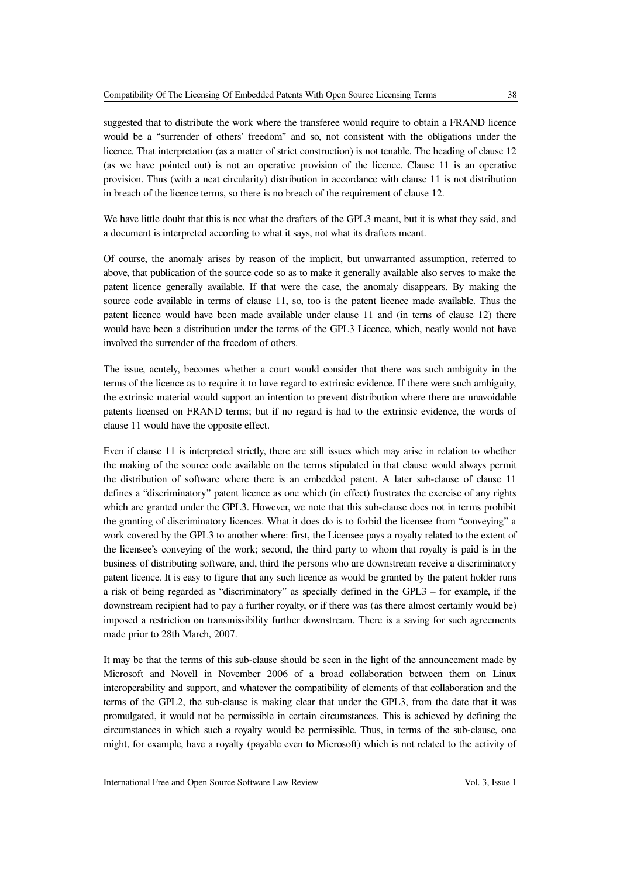suggested that to distribute the work where the transferee would require to obtain a FRAND licence would be a "surrender of others' freedom" and so, not consistent with the obligations under the licence. That interpretation (as a matter of strict construction) is not tenable. The heading of clause 12 (as we have pointed out) is not an operative provision of the licence. Clause 11 is an operative provision. Thus (with a neat circularity) distribution in accordance with clause 11 is not distribution in breach of the licence terms, so there is no breach of the requirement of clause 12.

We have little doubt that this is not what the drafters of the GPL3 meant, but it is what they said, and a document is interpreted according to what it says, not what its drafters meant.

Of course, the anomaly arises by reason of the implicit, but unwarranted assumption, referred to above, that publication of the source code so as to make it generally available also serves to make the patent licence generally available. If that were the case, the anomaly disappears. By making the source code available in terms of clause 11, so, too is the patent licence made available. Thus the patent licence would have been made available under clause 11 and (in terns of clause 12) there would have been a distribution under the terms of the GPL3 Licence, which, neatly would not have involved the surrender of the freedom of others.

The issue, acutely, becomes whether a court would consider that there was such ambiguity in the terms of the licence as to require it to have regard to extrinsic evidence. If there were such ambiguity, the extrinsic material would support an intention to prevent distribution where there are unavoidable patents licensed on FRAND terms; but if no regard is had to the extrinsic evidence, the words of clause 11 would have the opposite effect.

Even if clause 11 is interpreted strictly, there are still issues which may arise in relation to whether the making of the source code available on the terms stipulated in that clause would always permit the distribution of software where there is an embedded patent. A later sub-clause of clause 11 defines a "discriminatory" patent licence as one which (in effect) frustrates the exercise of any rights which are granted under the GPL3. However, we note that this sub-clause does not in terms prohibit the granting of discriminatory licences. What it does do is to forbid the licensee from "conveying" a work covered by the GPL3 to another where: first, the Licensee pays a royalty related to the extent of the licensee's conveying of the work; second, the third party to whom that royalty is paid is in the business of distributing software, and, third the persons who are downstream receive a discriminatory patent licence. It is easy to figure that any such licence as would be granted by the patent holder runs a risk of being regarded as "discriminatory" as specially defined in the GPL3 – for example, if the downstream recipient had to pay a further royalty, or if there was (as there almost certainly would be) imposed a restriction on transmissibility further downstream. There is a saving for such agreements made prior to 28th March, 2007.

It may be that the terms of this sub-clause should be seen in the light of the announcement made by Microsoft and Novell in November 2006 of a broad collaboration between them on Linux interoperability and support, and whatever the compatibility of elements of that collaboration and the terms of the GPL2, the sub-clause is making clear that under the GPL3, from the date that it was promulgated, it would not be permissible in certain circumstances. This is achieved by defining the circumstances in which such a royalty would be permissible. Thus, in terms of the sub-clause, one might, for example, have a royalty (payable even to Microsoft) which is not related to the activity of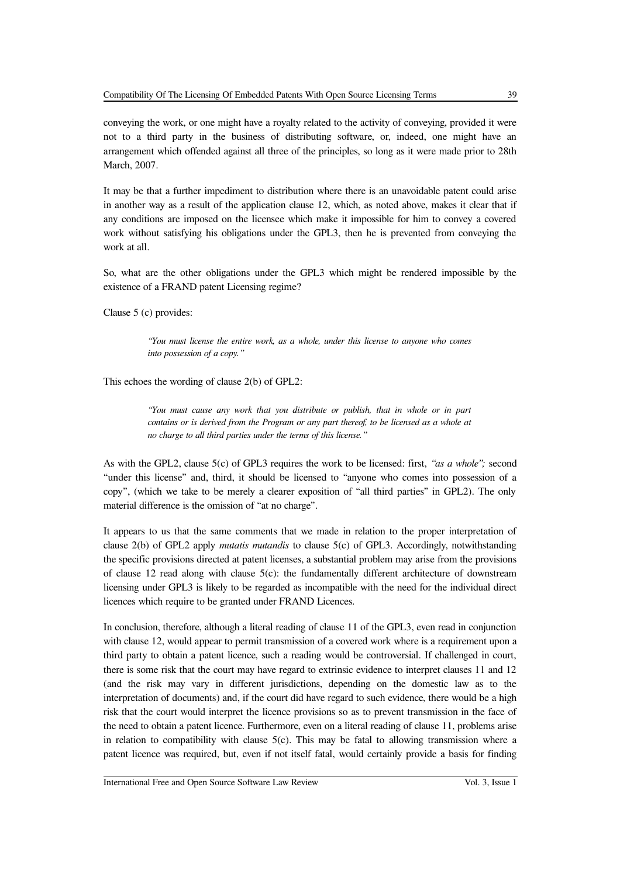conveying the work, or one might have a royalty related to the activity of conveying, provided it were not to a third party in the business of distributing software, or, indeed, one might have an arrangement which offended against all three of the principles, so long as it were made prior to 28th March, 2007.

It may be that a further impediment to distribution where there is an unavoidable patent could arise in another way as a result of the application clause 12, which, as noted above, makes it clear that if any conditions are imposed on the licensee which make it impossible for him to convey a covered work without satisfying his obligations under the GPL3, then he is prevented from conveying the work at all.

So, what are the other obligations under the GPL3 which might be rendered impossible by the existence of a FRAND patent Licensing regime?

Clause 5 (c) provides:

*"You must license the entire work, as a whole, under this license to anyone who comes into possession of a copy."*

This echoes the wording of clause 2(b) of GPL2:

*"You must cause any work that you distribute or publish, that in whole or in part contains or is derived from the Program or any part thereof, to be licensed as a whole at no charge to all third parties under the terms of this license."*

As with the GPL2, clause 5(c) of GPL3 requires the work to be licensed: first, *"as a whole";* second "under this license" and, third, it should be licensed to "anyone who comes into possession of a copy", (which we take to be merely a clearer exposition of "all third parties" in GPL2). The only material difference is the omission of "at no charge".

It appears to us that the same comments that we made in relation to the proper interpretation of clause 2(b) of GPL2 apply *mutatis mutandis* to clause 5(c) of GPL3. Accordingly, notwithstanding the specific provisions directed at patent licenses, a substantial problem may arise from the provisions of clause 12 read along with clause  $5(c)$ : the fundamentally different architecture of downstream licensing under GPL3 is likely to be regarded as incompatible with the need for the individual direct licences which require to be granted under FRAND Licences.

In conclusion, therefore, although a literal reading of clause 11 of the GPL3, even read in conjunction with clause 12, would appear to permit transmission of a covered work where is a requirement upon a third party to obtain a patent licence, such a reading would be controversial. If challenged in court, there is some risk that the court may have regard to extrinsic evidence to interpret clauses 11 and 12 (and the risk may vary in different jurisdictions, depending on the domestic law as to the interpretation of documents) and, if the court did have regard to such evidence, there would be a high risk that the court would interpret the licence provisions so as to prevent transmission in the face of the need to obtain a patent licence. Furthermore, even on a literal reading of clause 11, problems arise in relation to compatibility with clause 5(c). This may be fatal to allowing transmission where a patent licence was required, but, even if not itself fatal, would certainly provide a basis for finding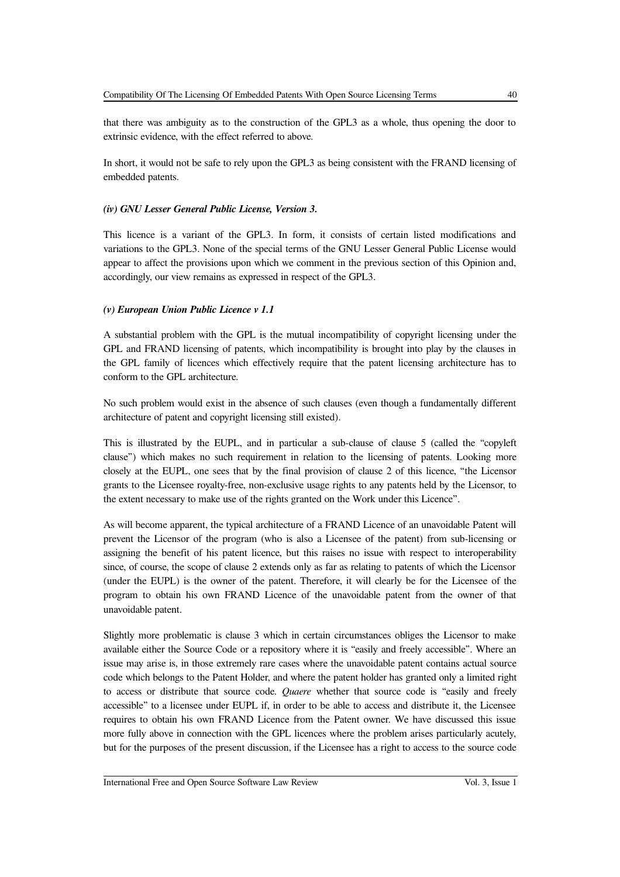that there was ambiguity as to the construction of the GPL3 as a whole, thus opening the door to extrinsic evidence, with the effect referred to above.

In short, it would not be safe to rely upon the GPL3 as being consistent with the FRAND licensing of embedded patents.

### *(iv) GNU Lesser General Public License, Version 3.*

This licence is a variant of the GPL3. In form, it consists of certain listed modifications and variations to the GPL3. None of the special terms of the GNU Lesser General Public License would appear to affect the provisions upon which we comment in the previous section of this Opinion and, accordingly, our view remains as expressed in respect of the GPL3.

### *(v) European Union Public Licence v 1.1*

A substantial problem with the GPL is the mutual incompatibility of copyright licensing under the GPL and FRAND licensing of patents, which incompatibility is brought into play by the clauses in the GPL family of licences which effectively require that the patent licensing architecture has to conform to the GPL architecture.

No such problem would exist in the absence of such clauses (even though a fundamentally different architecture of patent and copyright licensing still existed).

This is illustrated by the EUPL, and in particular a sub-clause of clause 5 (called the "copyleft clause") which makes no such requirement in relation to the licensing of patents. Looking more closely at the EUPL, one sees that by the final provision of clause 2 of this licence, "the Licensor grants to the Licensee royalty-free, non-exclusive usage rights to any patents held by the Licensor, to the extent necessary to make use of the rights granted on the Work under this Licence".

As will become apparent, the typical architecture of a FRAND Licence of an unavoidable Patent will prevent the Licensor of the program (who is also a Licensee of the patent) from sub-licensing or assigning the benefit of his patent licence, but this raises no issue with respect to interoperability since, of course, the scope of clause 2 extends only as far as relating to patents of which the Licensor (under the EUPL) is the owner of the patent. Therefore, it will clearly be for the Licensee of the program to obtain his own FRAND Licence of the unavoidable patent from the owner of that unavoidable patent.

Slightly more problematic is clause 3 which in certain circumstances obliges the Licensor to make available either the Source Code or a repository where it is "easily and freely accessible". Where an issue may arise is, in those extremely rare cases where the unavoidable patent contains actual source code which belongs to the Patent Holder, and where the patent holder has granted only a limited right to access or distribute that source code. *Quaere* whether that source code is "easily and freely accessible" to a licensee under EUPL if, in order to be able to access and distribute it, the Licensee requires to obtain his own FRAND Licence from the Patent owner. We have discussed this issue more fully above in connection with the GPL licences where the problem arises particularly acutely, but for the purposes of the present discussion, if the Licensee has a right to access to the source code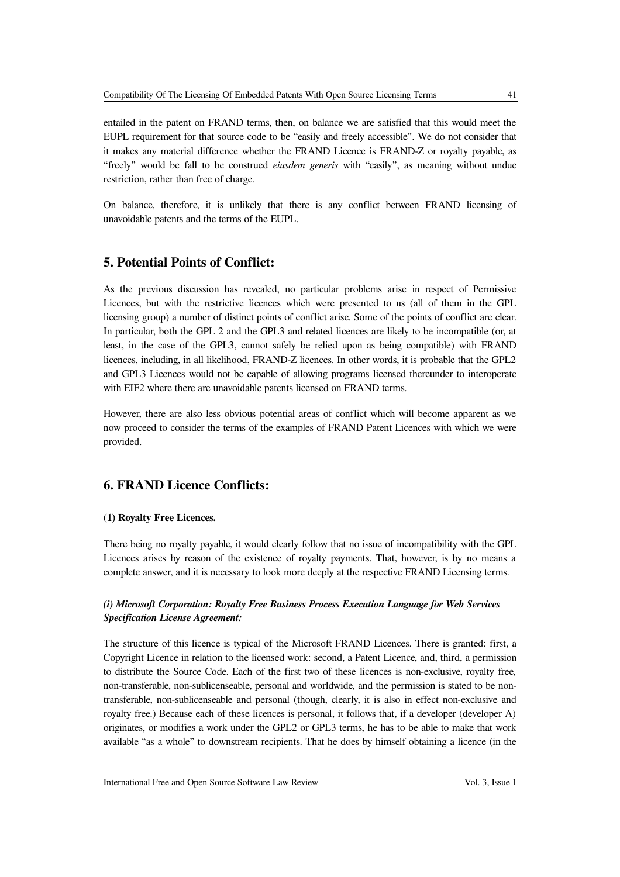entailed in the patent on FRAND terms, then, on balance we are satisfied that this would meet the EUPL requirement for that source code to be "easily and freely accessible". We do not consider that it makes any material difference whether the FRAND Licence is FRAND-Z or royalty payable, as "freely" would be fall to be construed *eiusdem generis* with "easily", as meaning without undue restriction, rather than free of charge.

On balance, therefore, it is unlikely that there is any conflict between FRAND licensing of unavoidable patents and the terms of the EUPL.

### **5. Potential Points of Conflict:**

As the previous discussion has revealed, no particular problems arise in respect of Permissive Licences, but with the restrictive licences which were presented to us (all of them in the GPL licensing group) a number of distinct points of conflict arise. Some of the points of conflict are clear. In particular, both the GPL 2 and the GPL3 and related licences are likely to be incompatible (or, at least, in the case of the GPL3, cannot safely be relied upon as being compatible) with FRAND licences, including, in all likelihood, FRAND-Z licences. In other words, it is probable that the GPL2 and GPL3 Licences would not be capable of allowing programs licensed thereunder to interoperate with EIF2 where there are unavoidable patents licensed on FRAND terms.

However, there are also less obvious potential areas of conflict which will become apparent as we now proceed to consider the terms of the examples of FRAND Patent Licences with which we were provided.

### **6. FRAND Licence Conflicts:**

### **(1) Royalty Free Licences.**

There being no royalty payable, it would clearly follow that no issue of incompatibility with the GPL Licences arises by reason of the existence of royalty payments. That, however, is by no means a complete answer, and it is necessary to look more deeply at the respective FRAND Licensing terms.

### *(i) Microsoft Corporation: Royalty Free Business Process Execution Language for Web Services Specification License Agreement:*

The structure of this licence is typical of the Microsoft FRAND Licences. There is granted: first, a Copyright Licence in relation to the licensed work: second, a Patent Licence, and, third, a permission to distribute the Source Code. Each of the first two of these licences is non-exclusive, royalty free, non-transferable, non-sublicenseable, personal and worldwide, and the permission is stated to be nontransferable, non-sublicenseable and personal (though, clearly, it is also in effect non-exclusive and royalty free.) Because each of these licences is personal, it follows that, if a developer (developer A) originates, or modifies a work under the GPL2 or GPL3 terms, he has to be able to make that work available "as a whole" to downstream recipients. That he does by himself obtaining a licence (in the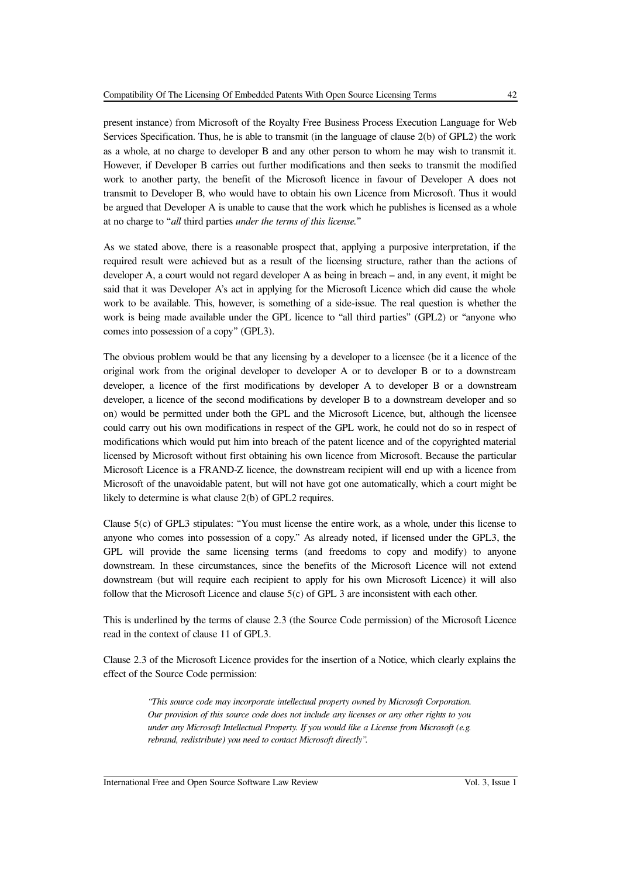as a whole, at no charge to developer B and any other person to whom he may wish to transmit it. However, if Developer B carries out further modifications and then seeks to transmit the modified work to another party, the benefit of the Microsoft licence in favour of Developer A does not transmit to Developer B, who would have to obtain his own Licence from Microsoft. Thus it would be argued that Developer A is unable to cause that the work which he publishes is licensed as a whole at no charge to "*all* third parties *under the terms of this license.*"

As we stated above, there is a reasonable prospect that, applying a purposive interpretation, if the required result were achieved but as a result of the licensing structure, rather than the actions of developer A, a court would not regard developer A as being in breach – and, in any event, it might be said that it was Developer A's act in applying for the Microsoft Licence which did cause the whole work to be available. This, however, is something of a side-issue. The real question is whether the work is being made available under the GPL licence to "all third parties" (GPL2) or "anyone who comes into possession of a copy" (GPL3).

The obvious problem would be that any licensing by a developer to a licensee (be it a licence of the original work from the original developer to developer A or to developer B or to a downstream developer, a licence of the first modifications by developer A to developer B or a downstream developer, a licence of the second modifications by developer B to a downstream developer and so on) would be permitted under both the GPL and the Microsoft Licence, but, although the licensee could carry out his own modifications in respect of the GPL work, he could not do so in respect of modifications which would put him into breach of the patent licence and of the copyrighted material licensed by Microsoft without first obtaining his own licence from Microsoft. Because the particular Microsoft Licence is a FRAND-Z licence, the downstream recipient will end up with a licence from Microsoft of the unavoidable patent, but will not have got one automatically, which a court might be likely to determine is what clause 2(b) of GPL2 requires.

Clause 5(c) of GPL3 stipulates: "You must license the entire work, as a whole, under this license to anyone who comes into possession of a copy." As already noted, if licensed under the GPL3, the GPL will provide the same licensing terms (and freedoms to copy and modify) to anyone downstream. In these circumstances, since the benefits of the Microsoft Licence will not extend downstream (but will require each recipient to apply for his own Microsoft Licence) it will also follow that the Microsoft Licence and clause 5(c) of GPL 3 are inconsistent with each other.

This is underlined by the terms of clause 2.3 (the Source Code permission) of the Microsoft Licence read in the context of clause 11 of GPL3.

Clause 2.3 of the Microsoft Licence provides for the insertion of a Notice, which clearly explains the effect of the Source Code permission:

> *"This source code may incorporate intellectual property owned by Microsoft Corporation. Our provision of this source code does not include any licenses or any other rights to you under any Microsoft Intellectual Property. If you would like a License from Microsoft (e.g. rebrand, redistribute) you need to contact Microsoft directly".*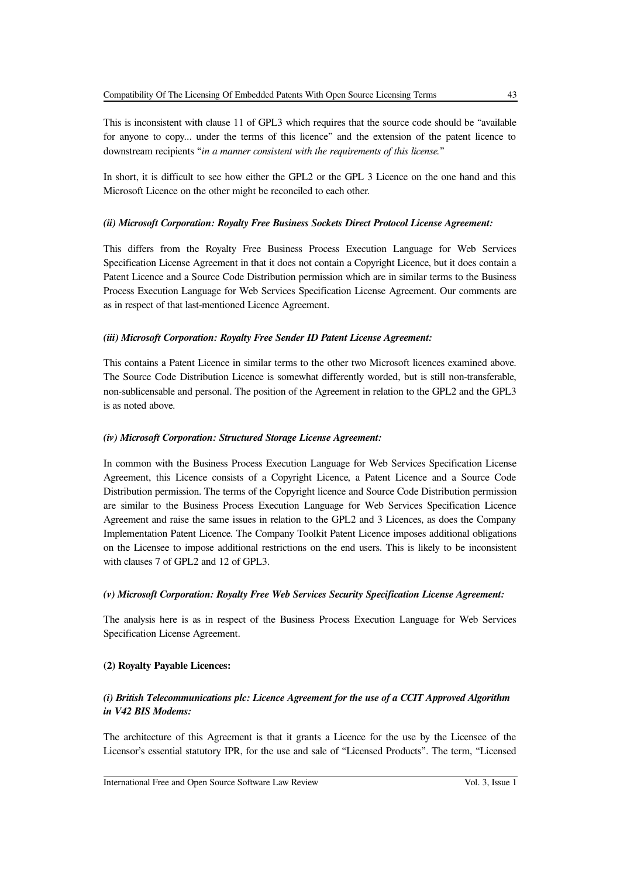This is inconsistent with clause 11 of GPL3 which requires that the source code should be "available for anyone to copy... under the terms of this licence" and the extension of the patent licence to downstream recipients "*in a manner consistent with the requirements of this license.*"

In short, it is difficult to see how either the GPL2 or the GPL 3 Licence on the one hand and this Microsoft Licence on the other might be reconciled to each other.

### *(ii) Microsoft Corporation: Royalty Free Business Sockets Direct Protocol License Agreement:*

This differs from the Royalty Free Business Process Execution Language for Web Services Specification License Agreement in that it does not contain a Copyright Licence, but it does contain a Patent Licence and a Source Code Distribution permission which are in similar terms to the Business Process Execution Language for Web Services Specification License Agreement. Our comments are as in respect of that last-mentioned Licence Agreement.

### *(iii) Microsoft Corporation: Royalty Free Sender ID Patent License Agreement:*

This contains a Patent Licence in similar terms to the other two Microsoft licences examined above. The Source Code Distribution Licence is somewhat differently worded, but is still non-transferable, non-sublicensable and personal. The position of the Agreement in relation to the GPL2 and the GPL3 is as noted above.

### *(iv) Microsoft Corporation: Structured Storage License Agreement:*

In common with the Business Process Execution Language for Web Services Specification License Agreement, this Licence consists of a Copyright Licence, a Patent Licence and a Source Code Distribution permission. The terms of the Copyright licence and Source Code Distribution permission are similar to the Business Process Execution Language for Web Services Specification Licence Agreement and raise the same issues in relation to the GPL2 and 3 Licences, as does the Company Implementation Patent Licence. The Company Toolkit Patent Licence imposes additional obligations on the Licensee to impose additional restrictions on the end users. This is likely to be inconsistent with clauses 7 of GPL2 and 12 of GPL3.

### *(v) Microsoft Corporation: Royalty Free Web Services Security Specification License Agreement:*

The analysis here is as in respect of the Business Process Execution Language for Web Services Specification License Agreement.

### **(2) Royalty Payable Licences:**

### *(i) British Telecommunications plc: Licence Agreement for the use of a CCIT Approved Algorithm in V42 BIS Modems:*

The architecture of this Agreement is that it grants a Licence for the use by the Licensee of the Licensor's essential statutory IPR, for the use and sale of "Licensed Products". The term, "Licensed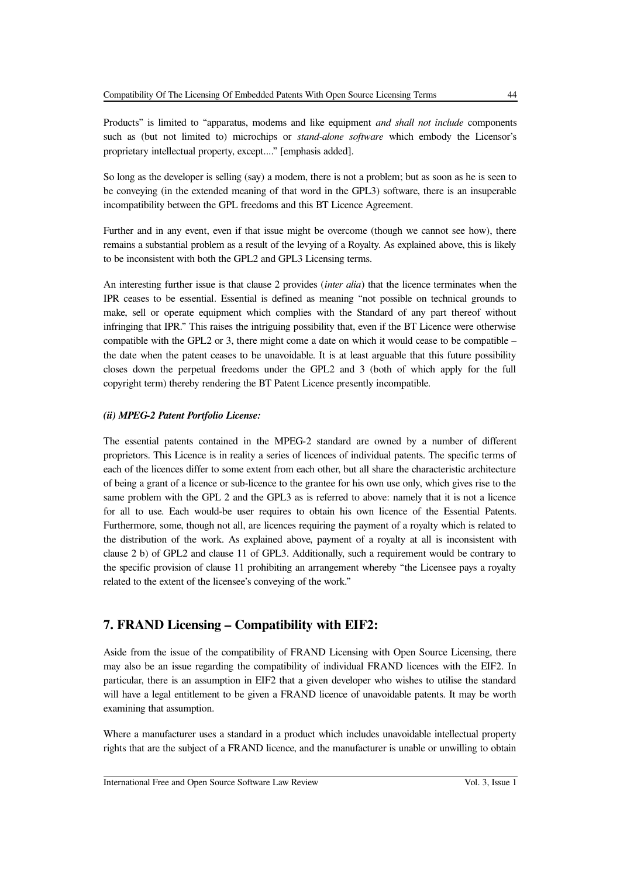Products" is limited to "apparatus, modems and like equipment *and shall not include* components such as (but not limited to) microchips or *stand-alone software* which embody the Licensor's proprietary intellectual property, except...." [emphasis added].

So long as the developer is selling (say) a modem, there is not a problem; but as soon as he is seen to be conveying (in the extended meaning of that word in the GPL3) software, there is an insuperable incompatibility between the GPL freedoms and this BT Licence Agreement.

Further and in any event, even if that issue might be overcome (though we cannot see how), there remains a substantial problem as a result of the levying of a Royalty. As explained above, this is likely to be inconsistent with both the GPL2 and GPL3 Licensing terms.

An interesting further issue is that clause 2 provides (*inter alia*) that the licence terminates when the IPR ceases to be essential. Essential is defined as meaning "not possible on technical grounds to make, sell or operate equipment which complies with the Standard of any part thereof without infringing that IPR." This raises the intriguing possibility that, even if the BT Licence were otherwise compatible with the GPL2 or 3, there might come a date on which it would cease to be compatible – the date when the patent ceases to be unavoidable. It is at least arguable that this future possibility closes down the perpetual freedoms under the GPL2 and 3 (both of which apply for the full copyright term) thereby rendering the BT Patent Licence presently incompatible.

#### *(ii) MPEG-2 Patent Portfolio License:*

The essential patents contained in the MPEG-2 standard are owned by a number of different proprietors. This Licence is in reality a series of licences of individual patents. The specific terms of each of the licences differ to some extent from each other, but all share the characteristic architecture of being a grant of a licence or sub-licence to the grantee for his own use only, which gives rise to the same problem with the GPL 2 and the GPL3 as is referred to above: namely that it is not a licence for all to use. Each would-be user requires to obtain his own licence of the Essential Patents. Furthermore, some, though not all, are licences requiring the payment of a royalty which is related to the distribution of the work. As explained above, payment of a royalty at all is inconsistent with clause 2 b) of GPL2 and clause 11 of GPL3. Additionally, such a requirement would be contrary to the specific provision of clause 11 prohibiting an arrangement whereby "the Licensee pays a royalty related to the extent of the licensee's conveying of the work."

### **7. FRAND Licensing – Compatibility with EIF2:**

Aside from the issue of the compatibility of FRAND Licensing with Open Source Licensing, there may also be an issue regarding the compatibility of individual FRAND licences with the EIF2. In particular, there is an assumption in EIF2 that a given developer who wishes to utilise the standard will have a legal entitlement to be given a FRAND licence of unavoidable patents. It may be worth examining that assumption.

Where a manufacturer uses a standard in a product which includes unavoidable intellectual property rights that are the subject of a FRAND licence, and the manufacturer is unable or unwilling to obtain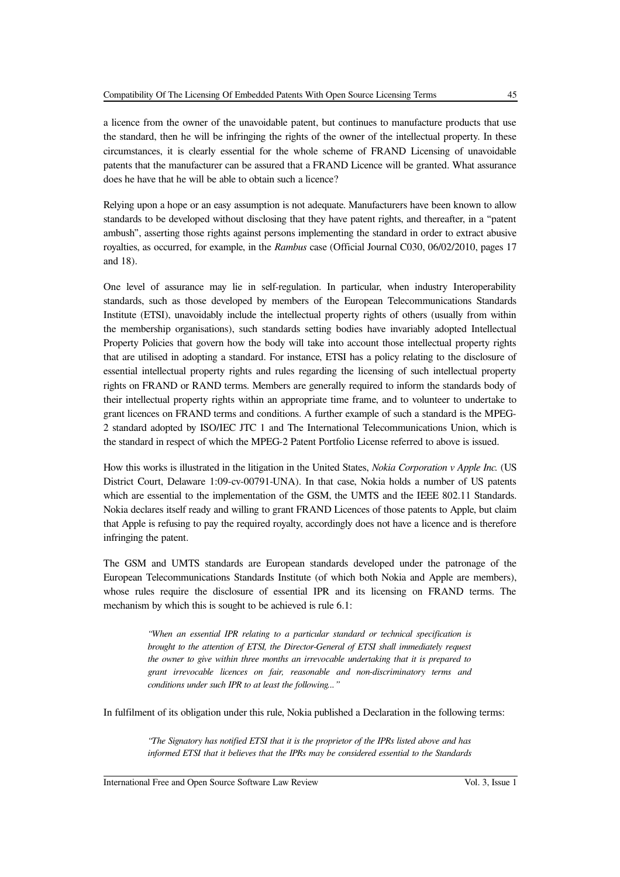a licence from the owner of the unavoidable patent, but continues to manufacture products that use the standard, then he will be infringing the rights of the owner of the intellectual property. In these circumstances, it is clearly essential for the whole scheme of FRAND Licensing of unavoidable patents that the manufacturer can be assured that a FRAND Licence will be granted. What assurance does he have that he will be able to obtain such a licence?

Relying upon a hope or an easy assumption is not adequate. Manufacturers have been known to allow standards to be developed without disclosing that they have patent rights, and thereafter, in a "patent ambush", asserting those rights against persons implementing the standard in order to extract abusive royalties, as occurred, for example, in the *Rambus* case (Official Journal C030, 06/02/2010, pages 17 and 18).

One level of assurance may lie in self-regulation. In particular, when industry Interoperability standards, such as those developed by members of the European Telecommunications Standards Institute (ETSI), unavoidably include the intellectual property rights of others (usually from within the membership organisations), such standards setting bodies have invariably adopted Intellectual Property Policies that govern how the body will take into account those intellectual property rights that are utilised in adopting a standard. For instance, ETSI has a policy relating to the disclosure of essential intellectual property rights and rules regarding the licensing of such intellectual property rights on FRAND or RAND terms. Members are generally required to inform the standards body of their intellectual property rights within an appropriate time frame, and to volunteer to undertake to grant licences on FRAND terms and conditions. A further example of such a standard is the MPEG-2 standard adopted by ISO/IEC JTC 1 and The International Telecommunications Union, which is the standard in respect of which the MPEG-2 Patent Portfolio License referred to above is issued.

How this works is illustrated in the litigation in the United States, *Nokia Corporation v Apple Inc.* (US District Court, Delaware 1:09-cv-00791-UNA). In that case, Nokia holds a number of US patents which are essential to the implementation of the GSM, the UMTS and the IEEE 802.11 Standards. Nokia declares itself ready and willing to grant FRAND Licences of those patents to Apple, but claim that Apple is refusing to pay the required royalty, accordingly does not have a licence and is therefore infringing the patent.

The GSM and UMTS standards are European standards developed under the patronage of the European Telecommunications Standards Institute (of which both Nokia and Apple are members), whose rules require the disclosure of essential IPR and its licensing on FRAND terms. The mechanism by which this is sought to be achieved is rule 6.1:

> *"When an essential IPR relating to a particular standard or technical specification is brought to the attention of ETSI, the Director-General of ETSI shall immediately request the owner to give within three months an irrevocable undertaking that it is prepared to grant irrevocable licences on fair, reasonable and non-discriminatory terms and conditions under such IPR to at least the following..."*

In fulfilment of its obligation under this rule, Nokia published a Declaration in the following terms:

*"The Signatory has notified ETSI that it is the proprietor of the IPRs listed above and has informed ETSI that it believes that the IPRs may be considered essential to the Standards*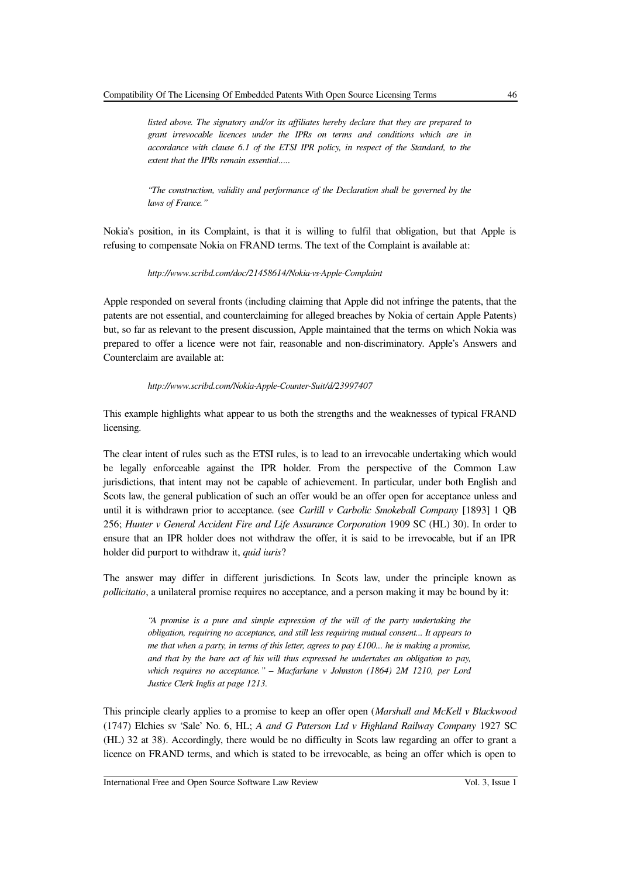*listed above. The signatory and/or its affiliates hereby declare that they are prepared to grant irrevocable licences under the IPRs on terms and conditions which are in accordance with clause 6.1 of the ETSI IPR policy, in respect of the Standard, to the extent that the IPRs remain essential.....*

*"The construction, validity and performance of the Declaration shall be governed by the laws of France."*

Nokia's position, in its Complaint, is that it is willing to fulfil that obligation, but that Apple is refusing to compensate Nokia on FRAND terms. The text of the Complaint is available at:

*http://www.scribd.com/doc/21458614/Nokia-vs-Apple-Complaint*

Apple responded on several fronts (including claiming that Apple did not infringe the patents, that the patents are not essential, and counterclaiming for alleged breaches by Nokia of certain Apple Patents) but, so far as relevant to the present discussion, Apple maintained that the terms on which Nokia was prepared to offer a licence were not fair, reasonable and non-discriminatory. Apple's Answers and Counterclaim are available at:

#### *http://www.scribd.com/Nokia-Apple-Counter-Suit/d/23997407*

This example highlights what appear to us both the strengths and the weaknesses of typical FRAND licensing.

The clear intent of rules such as the ETSI rules, is to lead to an irrevocable undertaking which would be legally enforceable against the IPR holder. From the perspective of the Common Law jurisdictions, that intent may not be capable of achievement. In particular, under both English and Scots law, the general publication of such an offer would be an offer open for acceptance unless and until it is withdrawn prior to acceptance. (see *Carlill v Carbolic Smokeball Company* [1893] 1 QB 256; *Hunter v General Accident Fire and Life Assurance Corporation* 1909 SC (HL) 30). In order to ensure that an IPR holder does not withdraw the offer, it is said to be irrevocable, but if an IPR holder did purport to withdraw it, *quid iuris*?

The answer may differ in different jurisdictions. In Scots law, under the principle known as *pollicitatio*, a unilateral promise requires no acceptance, and a person making it may be bound by it:

> *"A promise is a pure and simple expression of the will of the party undertaking the obligation, requiring no acceptance, and still less requiring mutual consent... It appears to me that when a party, in terms of this letter, agrees to pay £100... he is making a promise, and that by the bare act of his will thus expressed he undertakes an obligation to pay, which requires no acceptance." – Macfarlane v Johnston (1864) 2M 1210, per Lord Justice Clerk Inglis at page 1213.*

This principle clearly applies to a promise to keep an offer open (*Marshall and McKell v Blackwood* (1747) Elchies sv 'Sale' No. 6, HL; *A and G Paterson Ltd v Highland Railway Company* 1927 SC (HL) 32 at 38). Accordingly, there would be no difficulty in Scots law regarding an offer to grant a licence on FRAND terms, and which is stated to be irrevocable, as being an offer which is open to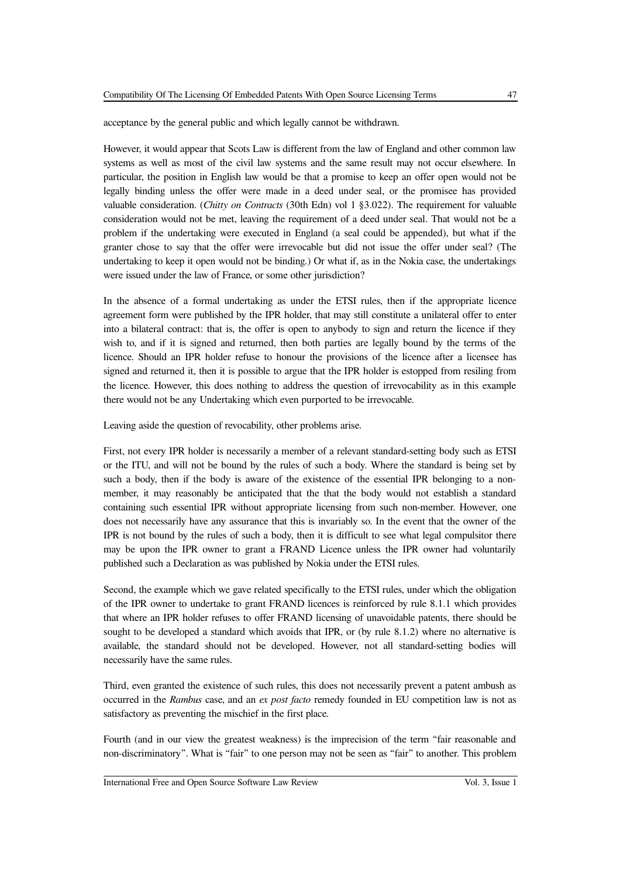acceptance by the general public and which legally cannot be withdrawn.

However, it would appear that Scots Law is different from the law of England and other common law systems as well as most of the civil law systems and the same result may not occur elsewhere. In particular, the position in English law would be that a promise to keep an offer open would not be legally binding unless the offer were made in a deed under seal, or the promisee has provided valuable consideration. (*Chitty on Contracts* (30th Edn) vol 1 §3.022). The requirement for valuable consideration would not be met, leaving the requirement of a deed under seal. That would not be a problem if the undertaking were executed in England (a seal could be appended), but what if the granter chose to say that the offer were irrevocable but did not issue the offer under seal? (The undertaking to keep it open would not be binding.) Or what if, as in the Nokia case, the undertakings were issued under the law of France, or some other jurisdiction?

In the absence of a formal undertaking as under the ETSI rules, then if the appropriate licence agreement form were published by the IPR holder, that may still constitute a unilateral offer to enter into a bilateral contract: that is, the offer is open to anybody to sign and return the licence if they wish to, and if it is signed and returned, then both parties are legally bound by the terms of the licence. Should an IPR holder refuse to honour the provisions of the licence after a licensee has signed and returned it, then it is possible to argue that the IPR holder is estopped from resiling from the licence. However, this does nothing to address the question of irrevocability as in this example there would not be any Undertaking which even purported to be irrevocable.

Leaving aside the question of revocability, other problems arise.

First, not every IPR holder is necessarily a member of a relevant standard-setting body such as ETSI or the ITU, and will not be bound by the rules of such a body. Where the standard is being set by such a body, then if the body is aware of the existence of the essential IPR belonging to a nonmember, it may reasonably be anticipated that the that the body would not establish a standard containing such essential IPR without appropriate licensing from such non-member. However, one does not necessarily have any assurance that this is invariably so. In the event that the owner of the IPR is not bound by the rules of such a body, then it is difficult to see what legal compulsitor there may be upon the IPR owner to grant a FRAND Licence unless the IPR owner had voluntarily published such a Declaration as was published by Nokia under the ETSI rules.

Second, the example which we gave related specifically to the ETSI rules, under which the obligation of the IPR owner to undertake to grant FRAND licences is reinforced by rule 8.1.1 which provides that where an IPR holder refuses to offer FRAND licensing of unavoidable patents, there should be sought to be developed a standard which avoids that IPR, or (by rule 8.1.2) where no alternative is available, the standard should not be developed. However, not all standard-setting bodies will necessarily have the same rules.

Third, even granted the existence of such rules, this does not necessarily prevent a patent ambush as occurred in the *Rambus* case, and an *ex post facto* remedy founded in EU competition law is not as satisfactory as preventing the mischief in the first place.

Fourth (and in our view the greatest weakness) is the imprecision of the term "fair reasonable and non-discriminatory". What is "fair" to one person may not be seen as "fair" to another. This problem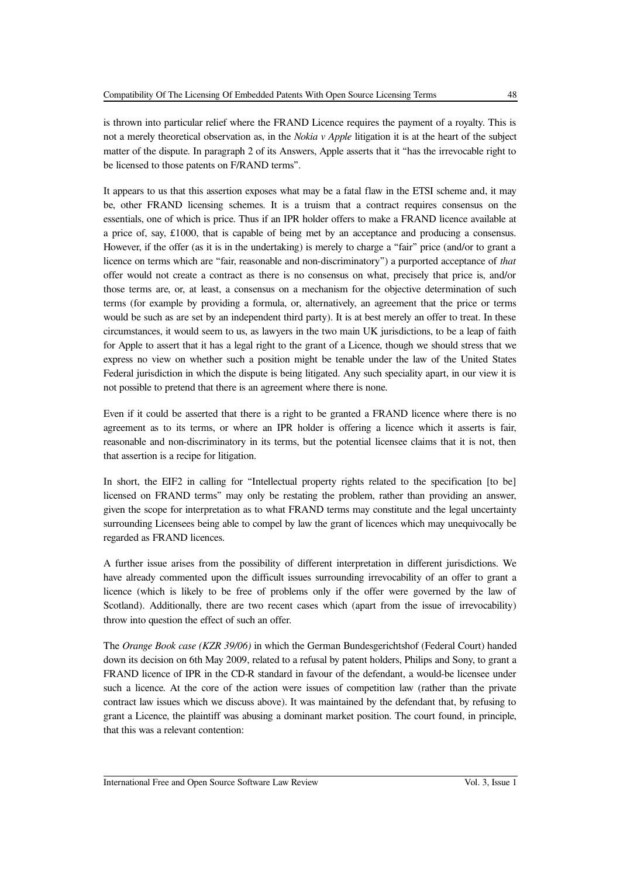is thrown into particular relief where the FRAND Licence requires the payment of a royalty. This is not a merely theoretical observation as, in the *Nokia v Apple* litigation it is at the heart of the subject matter of the dispute. In paragraph 2 of its Answers, Apple asserts that it "has the irrevocable right to be licensed to those patents on F/RAND terms".

It appears to us that this assertion exposes what may be a fatal flaw in the ETSI scheme and, it may be, other FRAND licensing schemes. It is a truism that a contract requires consensus on the essentials, one of which is price. Thus if an IPR holder offers to make a FRAND licence available at a price of, say, £1000, that is capable of being met by an acceptance and producing a consensus. However, if the offer (as it is in the undertaking) is merely to charge a "fair" price (and/or to grant a licence on terms which are "fair, reasonable and non-discriminatory") a purported acceptance of *that* offer would not create a contract as there is no consensus on what, precisely that price is, and/or those terms are, or, at least, a consensus on a mechanism for the objective determination of such terms (for example by providing a formula, or, alternatively, an agreement that the price or terms would be such as are set by an independent third party). It is at best merely an offer to treat. In these circumstances, it would seem to us, as lawyers in the two main UK jurisdictions, to be a leap of faith for Apple to assert that it has a legal right to the grant of a Licence, though we should stress that we express no view on whether such a position might be tenable under the law of the United States Federal jurisdiction in which the dispute is being litigated. Any such speciality apart, in our view it is not possible to pretend that there is an agreement where there is none.

Even if it could be asserted that there is a right to be granted a FRAND licence where there is no agreement as to its terms, or where an IPR holder is offering a licence which it asserts is fair, reasonable and non-discriminatory in its terms, but the potential licensee claims that it is not, then that assertion is a recipe for litigation.

In short, the EIF2 in calling for "Intellectual property rights related to the specification [to be] licensed on FRAND terms" may only be restating the problem, rather than providing an answer, given the scope for interpretation as to what FRAND terms may constitute and the legal uncertainty surrounding Licensees being able to compel by law the grant of licences which may unequivocally be regarded as FRAND licences.

A further issue arises from the possibility of different interpretation in different jurisdictions. We have already commented upon the difficult issues surrounding irrevocability of an offer to grant a licence (which is likely to be free of problems only if the offer were governed by the law of Scotland). Additionally, there are two recent cases which (apart from the issue of irrevocability) throw into question the effect of such an offer.

The *Orange Book case (KZR 39/06)* in which the German Bundesgerichtshof (Federal Court) handed down its decision on 6th May 2009, related to a refusal by patent holders, Philips and Sony, to grant a FRAND licence of IPR in the CD-R standard in favour of the defendant, a would-be licensee under such a licence. At the core of the action were issues of competition law (rather than the private contract law issues which we discuss above). It was maintained by the defendant that, by refusing to grant a Licence, the plaintiff was abusing a dominant market position. The court found, in principle, that this was a relevant contention: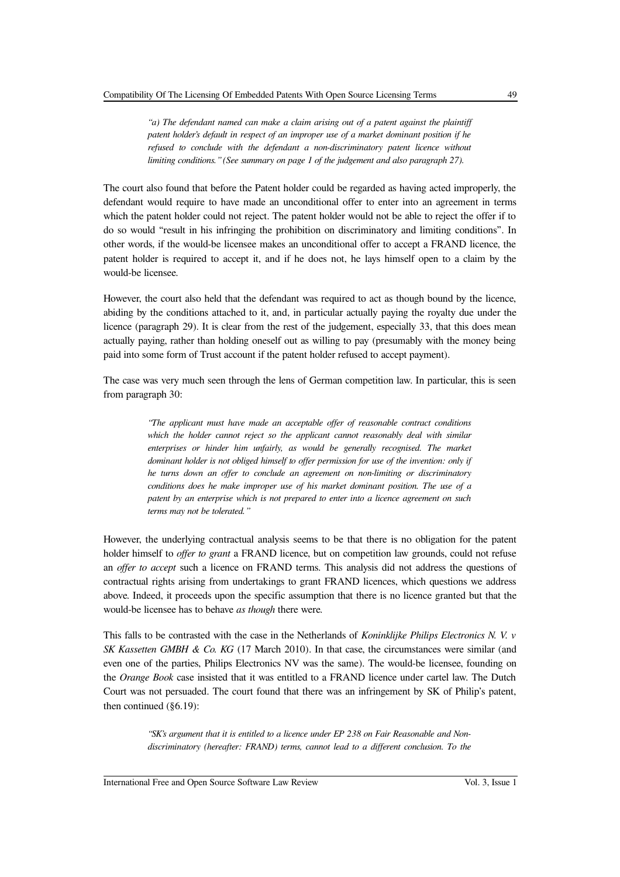*"a) The defendant named can make a claim arising out of a patent against the plaintiff patent holder's default in respect of an improper use of a market dominant position if he refused to conclude with the defendant a non-discriminatory patent licence without limiting conditions." (See summary on page 1 of the judgement and also paragraph 27).*

The court also found that before the Patent holder could be regarded as having acted improperly, the defendant would require to have made an unconditional offer to enter into an agreement in terms which the patent holder could not reject. The patent holder would not be able to reject the offer if to do so would "result in his infringing the prohibition on discriminatory and limiting conditions". In other words, if the would-be licensee makes an unconditional offer to accept a FRAND licence, the patent holder is required to accept it, and if he does not, he lays himself open to a claim by the would-be licensee.

However, the court also held that the defendant was required to act as though bound by the licence, abiding by the conditions attached to it, and, in particular actually paying the royalty due under the licence (paragraph 29). It is clear from the rest of the judgement, especially 33, that this does mean actually paying, rather than holding oneself out as willing to pay (presumably with the money being paid into some form of Trust account if the patent holder refused to accept payment).

The case was very much seen through the lens of German competition law. In particular, this is seen from paragraph 30:

> *"The applicant must have made an acceptable offer of reasonable contract conditions which the holder cannot reject so the applicant cannot reasonably deal with similar enterprises or hinder him unfairly, as would be generally recognised. The market dominant holder is not obliged himself to offer permission for use of the invention: only if he turns down an offer to conclude an agreement on non-limiting or discriminatory conditions does he make improper use of his market dominant position. The use of a patent by an enterprise which is not prepared to enter into a licence agreement on such terms may not be tolerated."*

However, the underlying contractual analysis seems to be that there is no obligation for the patent holder himself to *offer to grant* a FRAND licence, but on competition law grounds, could not refuse an *offer to accept* such a licence on FRAND terms. This analysis did not address the questions of contractual rights arising from undertakings to grant FRAND licences, which questions we address above. Indeed, it proceeds upon the specific assumption that there is no licence granted but that the would-be licensee has to behave *as though* there were.

This falls to be contrasted with the case in the Netherlands of *Koninklijke Philips Electronics N. V. v SK Kassetten GMBH & Co. KG* (17 March 2010). In that case, the circumstances were similar (and even one of the parties, Philips Electronics NV was the same). The would-be licensee, founding on the *Orange Book* case insisted that it was entitled to a FRAND licence under cartel law. The Dutch Court was not persuaded. The court found that there was an infringement by SK of Philip's patent, then continued (§6.19):

> *"SK's argument that it is entitled to a licence under EP 238 on Fair Reasonable and Nondiscriminatory (hereafter: FRAND) terms, cannot lead to a different conclusion. To the*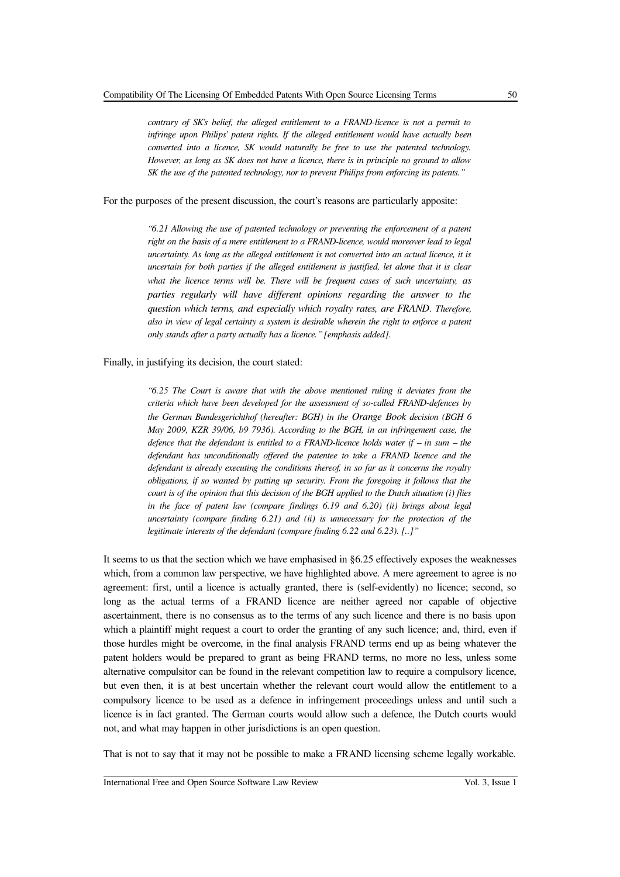*contrary of SK's belief, the alleged entitlement to a FRAND-licence is not a permit to infringe upon Philips' patent rights. If the alleged entitlement would have actually been converted into a licence, SK would naturally be free to use the patented technology. However, as long as SK does not have a licence, there is in principle no ground to allow SK the use of the patented technology, nor to prevent Philips from enforcing its patents."*

For the purposes of the present discussion, the court's reasons are particularly apposite:

*"6.21 Allowing the use of patented technology or preventing the enforcement of a patent right on the basis of a mere entitlement to a FRAND-licence, would moreover lead to legal uncertainty. As long as the alleged entitlement is not converted into an actual licence, it is uncertain for both parties if the alleged entitlement is justified, let alone that it is clear* what the licence terms will be. There will be frequent cases of such uncertainty, as *parties regularly will have different opinions regarding the answer to the question which terms, and especially which royalty rates, are FRAND. Therefore, also in view of legal certainty a system is desirable wherein the right to enforce a patent only stands after a party actually has a licence." [emphasis added].*

Finally, in justifying its decision, the court stated:

*"6.25 The Court is aware that with the above mentioned ruling it deviates from the criteria which have been developed for the assessment of so-called FRAND-defences by the German Bundesgerichthof (hereafter: BGH) in the Orange Book decision (BGH 6 May 2009, KZR 39/06, b9 7936). According to the BGH, in an infringement case, the defence that the defendant is entitled to a FRAND-licence holds water if – in sum – the defendant has unconditionally offered the patentee to take a FRAND licence and the defendant is already executing the conditions thereof, in so far as it concerns the royalty obligations, if so wanted by putting up security. From the foregoing it follows that the court is of the opinion that this decision of the BGH applied to the Dutch situation (i) flies in the face of patent law (compare findings 6.19 and 6.20) (ii) brings about legal uncertainty (compare finding 6.21) and (ii) is unnecessary for the protection of the legitimate interests of the defendant (compare finding 6.22 and 6.23). [..]"*

It seems to us that the section which we have emphasised in §6.25 effectively exposes the weaknesses which, from a common law perspective, we have highlighted above. A mere agreement to agree is no agreement: first, until a licence is actually granted, there is (self-evidently) no licence; second, so long as the actual terms of a FRAND licence are neither agreed nor capable of objective ascertainment, there is no consensus as to the terms of any such licence and there is no basis upon which a plaintiff might request a court to order the granting of any such licence; and, third, even if those hurdles might be overcome, in the final analysis FRAND terms end up as being whatever the patent holders would be prepared to grant as being FRAND terms, no more no less, unless some alternative compulsitor can be found in the relevant competition law to require a compulsory licence, but even then, it is at best uncertain whether the relevant court would allow the entitlement to a compulsory licence to be used as a defence in infringement proceedings unless and until such a licence is in fact granted. The German courts would allow such a defence, the Dutch courts would not, and what may happen in other jurisdictions is an open question.

That is not to say that it may not be possible to make a FRAND licensing scheme legally workable.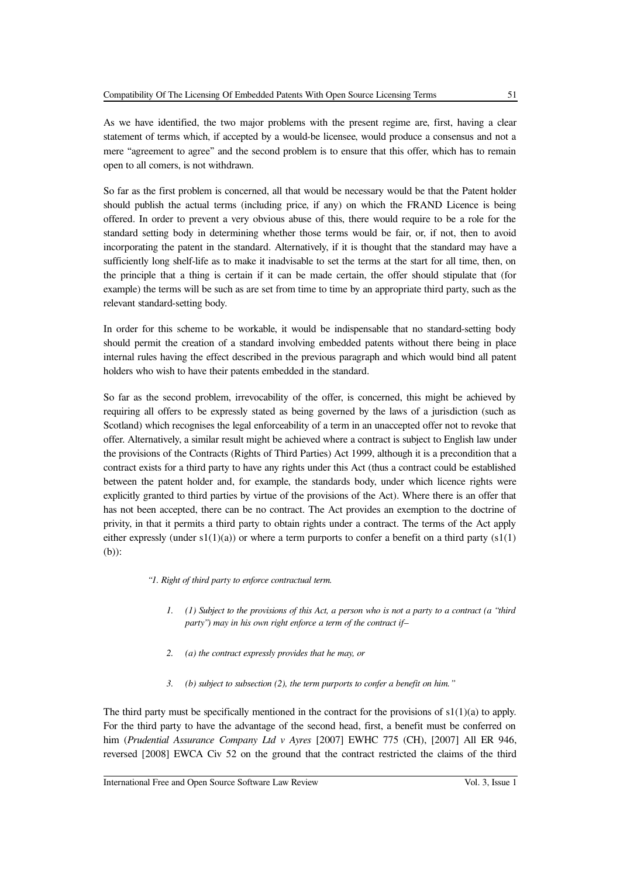As we have identified, the two major problems with the present regime are, first, having a clear statement of terms which, if accepted by a would-be licensee, would produce a consensus and not a mere "agreement to agree" and the second problem is to ensure that this offer, which has to remain open to all comers, is not withdrawn.

So far as the first problem is concerned, all that would be necessary would be that the Patent holder should publish the actual terms (including price, if any) on which the FRAND Licence is being offered. In order to prevent a very obvious abuse of this, there would require to be a role for the standard setting body in determining whether those terms would be fair, or, if not, then to avoid incorporating the patent in the standard. Alternatively, if it is thought that the standard may have a sufficiently long shelf-life as to make it inadvisable to set the terms at the start for all time, then, on the principle that a thing is certain if it can be made certain, the offer should stipulate that (for example) the terms will be such as are set from time to time by an appropriate third party, such as the relevant standard-setting body.

In order for this scheme to be workable, it would be indispensable that no standard-setting body should permit the creation of a standard involving embedded patents without there being in place internal rules having the effect described in the previous paragraph and which would bind all patent holders who wish to have their patents embedded in the standard.

So far as the second problem, irrevocability of the offer, is concerned, this might be achieved by requiring all offers to be expressly stated as being governed by the laws of a jurisdiction (such as Scotland) which recognises the legal enforceability of a term in an unaccepted offer not to revoke that offer. Alternatively, a similar result might be achieved where a contract is subject to English law under the provisions of the Contracts (Rights of Third Parties) Act 1999, although it is a precondition that a contract exists for a third party to have any rights under this Act (thus a contract could be established between the patent holder and, for example, the standards body, under which licence rights were explicitly granted to third parties by virtue of the provisions of the Act). Where there is an offer that has not been accepted, there can be no contract. The Act provides an exemption to the doctrine of privity, in that it permits a third party to obtain rights under a contract. The terms of the Act apply either expressly (under  $s1(1)(a)$ ) or where a term purports to confer a benefit on a third party ( $s1(1)$ ) (b)):

*"1. Right of third party to enforce contractual term.*

- *1. (1) Subject to the provisions of this Act, a person who is not a party to a contract (a "third party") may in his own right enforce a term of the contract if—*
- *2. (a) the contract expressly provides that he may, or*
- *3. (b) subject to subsection (2), the term purports to confer a benefit on him."*

The third party must be specifically mentioned in the contract for the provisions of  $s1(1)(a)$  to apply. For the third party to have the advantage of the second head, first, a benefit must be conferred on him (*Prudential Assurance Company Ltd v Ayres* [2007] EWHC 775 (CH), [2007] All ER 946, reversed [2008] EWCA Civ 52 on the ground that the contract restricted the claims of the third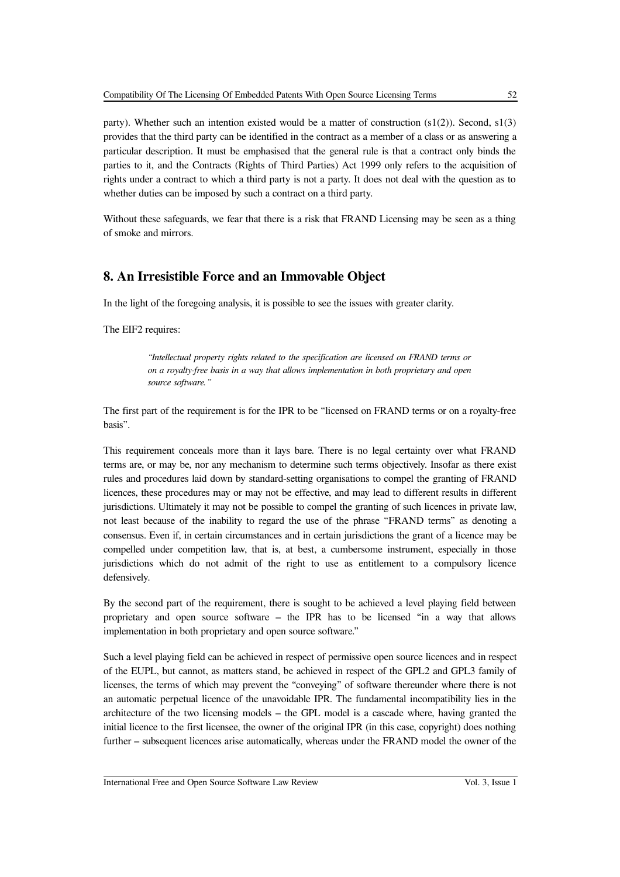party). Whether such an intention existed would be a matter of construction  $(s1(2))$ . Second,  $s1(3)$ provides that the third party can be identified in the contract as a member of a class or as answering a particular description. It must be emphasised that the general rule is that a contract only binds the parties to it, and the Contracts (Rights of Third Parties) Act 1999 only refers to the acquisition of rights under a contract to which a third party is not a party. It does not deal with the question as to whether duties can be imposed by such a contract on a third party.

Without these safeguards, we fear that there is a risk that FRAND Licensing may be seen as a thing of smoke and mirrors.

# **8. An Irresistible Force and an Immovable Object**

In the light of the foregoing analysis, it is possible to see the issues with greater clarity.

The EIF2 requires:

*"Intellectual property rights related to the specification are licensed on FRAND terms or on a royalty-free basis in a way that allows implementation in both proprietary and open source software."*

The first part of the requirement is for the IPR to be "licensed on FRAND terms or on a royalty-free basis".

This requirement conceals more than it lays bare. There is no legal certainty over what FRAND terms are, or may be, nor any mechanism to determine such terms objectively. Insofar as there exist rules and procedures laid down by standard-setting organisations to compel the granting of FRAND licences, these procedures may or may not be effective, and may lead to different results in different jurisdictions. Ultimately it may not be possible to compel the granting of such licences in private law, not least because of the inability to regard the use of the phrase "FRAND terms" as denoting a consensus. Even if, in certain circumstances and in certain jurisdictions the grant of a licence may be compelled under competition law, that is, at best, a cumbersome instrument, especially in those jurisdictions which do not admit of the right to use as entitlement to a compulsory licence defensively.

By the second part of the requirement, there is sought to be achieved a level playing field between proprietary and open source software – the IPR has to be licensed "in a way that allows implementation in both proprietary and open source software."

Such a level playing field can be achieved in respect of permissive open source licences and in respect of the EUPL, but cannot, as matters stand, be achieved in respect of the GPL2 and GPL3 family of licenses, the terms of which may prevent the "conveying" of software thereunder where there is not an automatic perpetual licence of the unavoidable IPR. The fundamental incompatibility lies in the architecture of the two licensing models – the GPL model is a cascade where, having granted the initial licence to the first licensee, the owner of the original IPR (in this case, copyright) does nothing further – subsequent licences arise automatically, whereas under the FRAND model the owner of the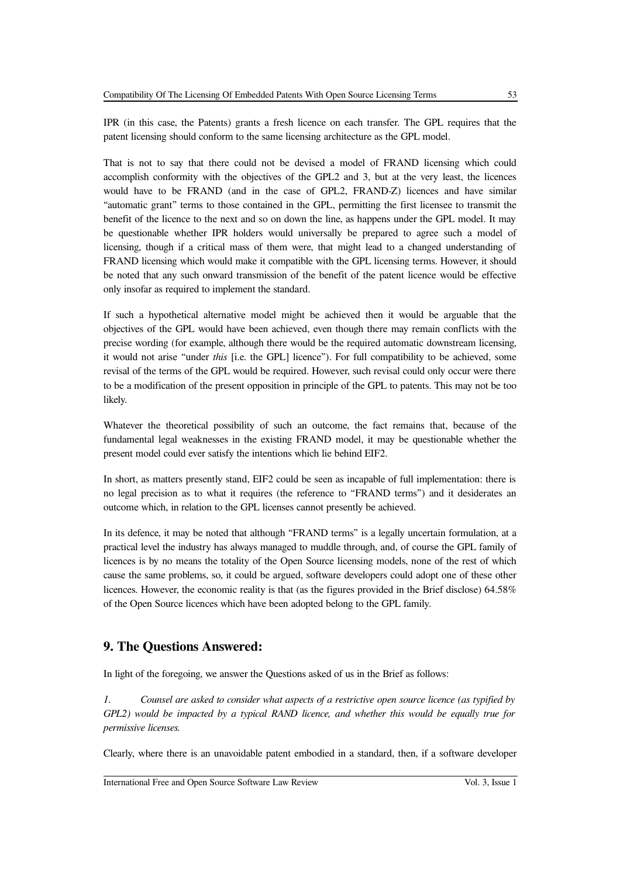IPR (in this case, the Patents) grants a fresh licence on each transfer. The GPL requires that the patent licensing should conform to the same licensing architecture as the GPL model.

That is not to say that there could not be devised a model of FRAND licensing which could accomplish conformity with the objectives of the GPL2 and 3, but at the very least, the licences would have to be FRAND (and in the case of GPL2, FRAND-Z) licences and have similar "automatic grant" terms to those contained in the GPL, permitting the first licensee to transmit the benefit of the licence to the next and so on down the line, as happens under the GPL model. It may be questionable whether IPR holders would universally be prepared to agree such a model of licensing, though if a critical mass of them were, that might lead to a changed understanding of FRAND licensing which would make it compatible with the GPL licensing terms. However, it should be noted that any such onward transmission of the benefit of the patent licence would be effective only insofar as required to implement the standard.

If such a hypothetical alternative model might be achieved then it would be arguable that the objectives of the GPL would have been achieved, even though there may remain conflicts with the precise wording (for example, although there would be the required automatic downstream licensing, it would not arise "under *this* [i.e. the GPL] licence"). For full compatibility to be achieved, some revisal of the terms of the GPL would be required. However, such revisal could only occur were there to be a modification of the present opposition in principle of the GPL to patents. This may not be too likely.

Whatever the theoretical possibility of such an outcome, the fact remains that, because of the fundamental legal weaknesses in the existing FRAND model, it may be questionable whether the present model could ever satisfy the intentions which lie behind EIF2.

In short, as matters presently stand, EIF2 could be seen as incapable of full implementation: there is no legal precision as to what it requires (the reference to "FRAND terms") and it desiderates an outcome which, in relation to the GPL licenses cannot presently be achieved.

In its defence, it may be noted that although "FRAND terms" is a legally uncertain formulation, at a practical level the industry has always managed to muddle through, and, of course the GPL family of licences is by no means the totality of the Open Source licensing models, none of the rest of which cause the same problems, so, it could be argued, software developers could adopt one of these other licences. However, the economic reality is that (as the figures provided in the Brief disclose) 64.58% of the Open Source licences which have been adopted belong to the GPL family.

### **9. The Questions Answered:**

In light of the foregoing, we answer the Questions asked of us in the Brief as follows:

*1. Counsel are asked to consider what aspects of a restrictive open source licence (as typified by GPL2) would be impacted by a typical RAND licence, and whether this would be equally true for permissive licenses.*

Clearly, where there is an unavoidable patent embodied in a standard, then, if a software developer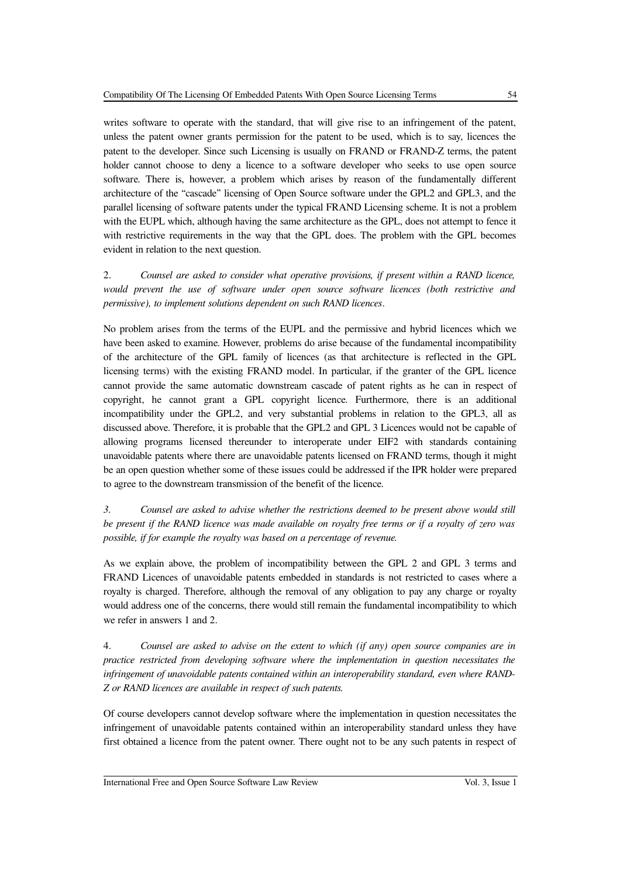writes software to operate with the standard, that will give rise to an infringement of the patent, unless the patent owner grants permission for the patent to be used, which is to say, licences the patent to the developer. Since such Licensing is usually on FRAND or FRAND-Z terms, the patent holder cannot choose to deny a licence to a software developer who seeks to use open source software. There is, however, a problem which arises by reason of the fundamentally different architecture of the "cascade" licensing of Open Source software under the GPL2 and GPL3, and the parallel licensing of software patents under the typical FRAND Licensing scheme. It is not a problem with the EUPL which, although having the same architecture as the GPL, does not attempt to fence it with restrictive requirements in the way that the GPL does. The problem with the GPL becomes evident in relation to the next question.

2. *Counsel are asked to consider what operative provisions, if present within a RAND licence, would prevent the use of software under open source software licences (both restrictive and permissive), to implement solutions dependent on such RAND licences*.

No problem arises from the terms of the EUPL and the permissive and hybrid licences which we have been asked to examine. However, problems do arise because of the fundamental incompatibility of the architecture of the GPL family of licences (as that architecture is reflected in the GPL licensing terms) with the existing FRAND model. In particular, if the granter of the GPL licence cannot provide the same automatic downstream cascade of patent rights as he can in respect of copyright, he cannot grant a GPL copyright licence. Furthermore, there is an additional incompatibility under the GPL2, and very substantial problems in relation to the GPL3, all as discussed above. Therefore, it is probable that the GPL2 and GPL 3 Licences would not be capable of allowing programs licensed thereunder to interoperate under EIF2 with standards containing unavoidable patents where there are unavoidable patents licensed on FRAND terms, though it might be an open question whether some of these issues could be addressed if the IPR holder were prepared to agree to the downstream transmission of the benefit of the licence.

*3. Counsel are asked to advise whether the restrictions deemed to be present above would still be present if the RAND licence was made available on royalty free terms or if a royalty of zero was possible, if for example the royalty was based on a percentage of revenue.*

As we explain above, the problem of incompatibility between the GPL 2 and GPL 3 terms and FRAND Licences of unavoidable patents embedded in standards is not restricted to cases where a royalty is charged. Therefore, although the removal of any obligation to pay any charge or royalty would address one of the concerns, there would still remain the fundamental incompatibility to which we refer in answers 1 and 2.

4. *Counsel are asked to advise on the extent to which (if any) open source companies are in practice restricted from developing software where the implementation in question necessitates the infringement of unavoidable patents contained within an interoperability standard, even where RAND-Z or RAND licences are available in respect of such patents.*

Of course developers cannot develop software where the implementation in question necessitates the infringement of unavoidable patents contained within an interoperability standard unless they have first obtained a licence from the patent owner. There ought not to be any such patents in respect of

International Free and Open Source Software Law Review Vol. 3, Issue 1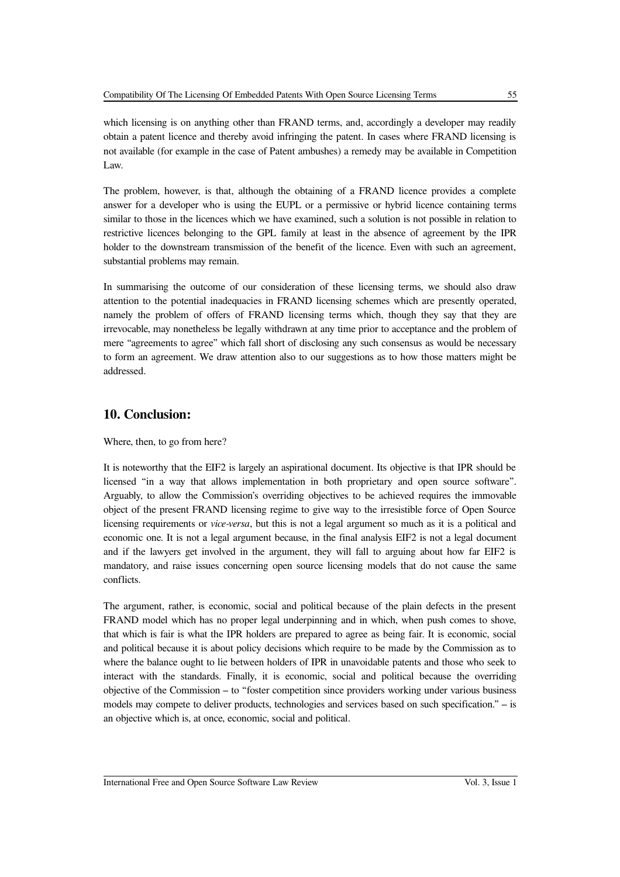The problem, however, is that, although the obtaining of a FRAND licence provides a complete answer for a developer who is using the EUPL or a permissive or hybrid licence containing terms similar to those in the licences which we have examined, such a solution is not possible in relation to restrictive licences belonging to the GPL family at least in the absence of agreement by the IPR holder to the downstream transmission of the benefit of the licence. Even with such an agreement, substantial problems may remain.

In summarising the outcome of our consideration of these licensing terms, we should also draw attention to the potential inadequacies in FRAND licensing schemes which are presently operated, namely the problem of offers of FRAND licensing terms which, though they say that they are irrevocable, may nonetheless be legally withdrawn at any time prior to acceptance and the problem of mere "agreements to agree" which fall short of disclosing any such consensus as would be necessary to form an agreement. We draw attention also to our suggestions as to how those matters might be addressed.

### **10. Conclusion:**

### Where, then, to go from here?

It is noteworthy that the EIF2 is largely an aspirational document. Its objective is that IPR should be licensed "in a way that allows implementation in both proprietary and open source software". Arguably, to allow the Commission's overriding objectives to be achieved requires the immovable object of the present FRAND licensing regime to give way to the irresistible force of Open Source licensing requirements or *vice-versa*, but this is not a legal argument so much as it is a political and economic one. It is not a legal argument because, in the final analysis EIF2 is not a legal document and if the lawyers get involved in the argument, they will fall to arguing about how far EIF2 is mandatory, and raise issues concerning open source licensing models that do not cause the same conflicts.

The argument, rather, is economic, social and political because of the plain defects in the present FRAND model which has no proper legal underpinning and in which, when push comes to shove, that which is fair is what the IPR holders are prepared to agree as being fair. It is economic, social and political because it is about policy decisions which require to be made by the Commission as to where the balance ought to lie between holders of IPR in unavoidable patents and those who seek to interact with the standards. Finally, it is economic, social and political because the overriding objective of the Commission – to "foster competition since providers working under various business models may compete to deliver products, technologies and services based on such specification." – is an objective which is, at once, economic, social and political.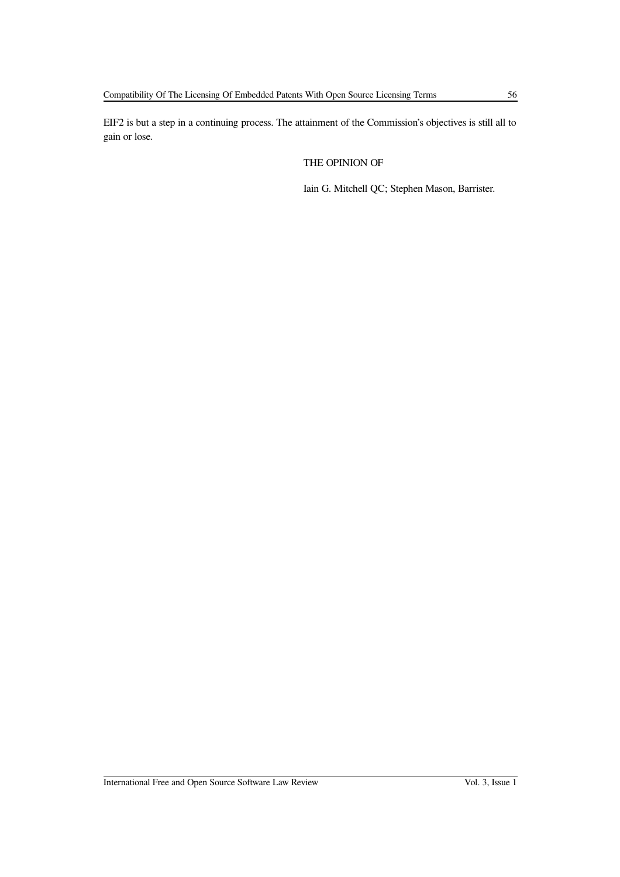EIF2 is but a step in a continuing process. The attainment of the Commission's objectives is still all to gain or lose.

THE OPINION OF

Iain G. Mitchell QC; Stephen Mason, Barrister.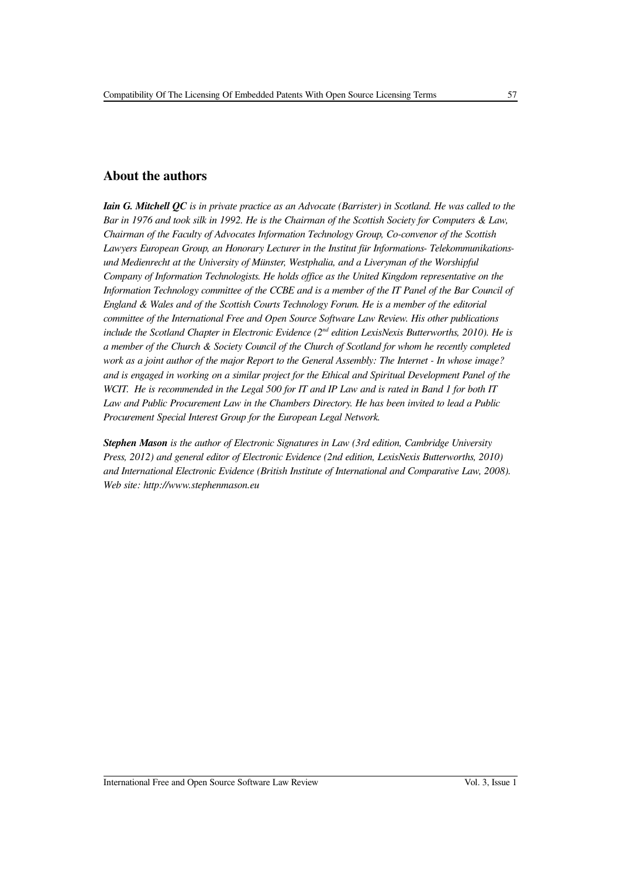### **About the authors**

*Iain G. Mitchell QC is in private practice as an Advocate (Barrister) in Scotland. He was called to the Bar in 1976 and took silk in 1992. He is the Chairman of the Scottish Society for Computers & Law, Chairman of the Faculty of Advocates Information Technology Group, Co-convenor of the Scottish Lawyers European Group, an Honorary Lecturer in the Institut für Informations- Telekommunikationsund Medienrecht at the University of Münster, Westphalia, and a Liveryman of the Worshipful Company of Information Technologists. He holds office as the United Kingdom representative on the Information Technology committee of the CCBE and is a member of the IT Panel of the Bar Council of England & Wales and of the Scottish Courts Technology Forum. He is a member of the editorial committee of the International Free and Open Source Software Law Review. His other publications include the Scotland Chapter in Electronic Evidence (2nd edition LexisNexis Butterworths, 2010). He is a member of the Church & Society Council of the Church of Scotland for whom he recently completed work as a joint author of the major Report to the General Assembly: The Internet - In whose image? and is engaged in working on a similar project for the Ethical and Spiritual Development Panel of the WCIT. He is recommended in the Legal 500 for IT and IP Law and is rated in Band 1 for both IT Law and Public Procurement Law in the Chambers Directory. He has been invited to lead a Public Procurement Special Interest Group for the European Legal Network.*

*Stephen Mason is the author of Electronic Signatures in Law (3rd edition, Cambridge University Press, 2012) and general editor of Electronic Evidence (2nd edition, LexisNexis Butterworths, 2010) and International Electronic Evidence (British Institute of International and Comparative Law, 2008). Web site: http://www.stephenmason.eu*